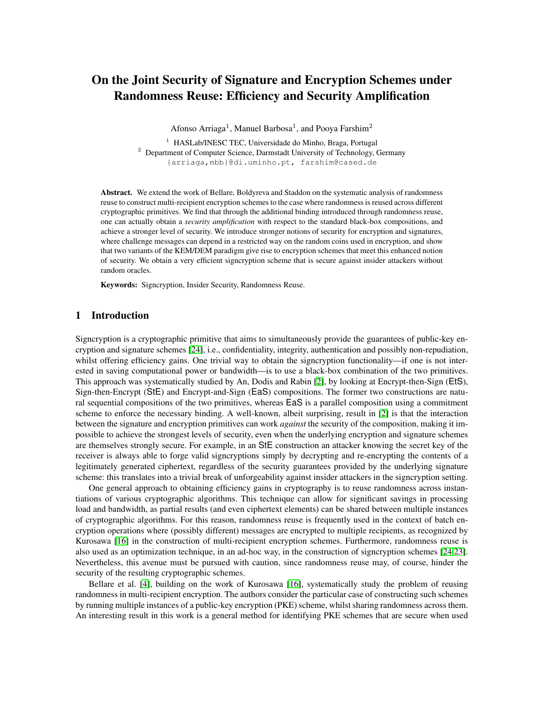# On the Joint Security of Signature and Encryption Schemes under Randomness Reuse: Efficiency and Security Amplification

Afonso Arriaga<sup>1</sup>, Manuel Barbosa<sup>1</sup>, and Pooya Farshim<sup>2</sup>

<sup>1</sup> HASLab/INESC TEC, Universidade do Minho, Braga, Portugal  $2$  Department of Computer Science, Darmstadt University of Technology, Germany {arriaga,mbb}@di.uminho.pt, farshim@cased.de

Abstract. We extend the work of Bellare, Boldyreva and Staddon on the systematic analysis of randomness reuse to construct multi-recipient encryption schemes to the case where randomness is reused across different cryptographic primitives. We find that through the additional binding introduced through randomness reuse, one can actually obtain a *security amplification* with respect to the standard black-box compositions, and achieve a stronger level of security. We introduce stronger notions of security for encryption and signatures, where challenge messages can depend in a restricted way on the random coins used in encryption, and show that two variants of the KEM/DEM paradigm give rise to encryption schemes that meet this enhanced notion of security. We obtain a very efficient signcryption scheme that is secure against insider attackers without random oracles.

Keywords: Signcryption, Insider Security, Randomness Reuse.

# 1 Introduction

Signcryption is a cryptographic primitive that aims to simultaneously provide the guarantees of public-key encryption and signature schemes [\[24\]](#page-14-0), i.e., confidentiality, integrity, authentication and possibly non-repudiation, whilst offering efficiency gains. One trivial way to obtain the signcryption functionality—if one is not interested in saving computational power or bandwidth—is to use a black-box combination of the two primitives. This approach was systematically studied by An, Dodis and Rabin [\[2\]](#page-14-1), by looking at Encrypt-then-Sign (EtS), Sign-then-Encrypt (StE) and Encrypt-and-Sign (EaS) compositions. The former two constructions are natural sequential compositions of the two primitives, whereas EaS is a parallel composition using a commitment scheme to enforce the necessary binding. A well-known, albeit surprising, result in [\[2\]](#page-14-1) is that the interaction between the signature and encryption primitives can work *against* the security of the composition, making it impossible to achieve the strongest levels of security, even when the underlying encryption and signature schemes are themselves strongly secure. For example, in an StE construction an attacker knowing the secret key of the receiver is always able to forge valid signcryptions simply by decrypting and re-encrypting the contents of a legitimately generated ciphertext, regardless of the security guarantees provided by the underlying signature scheme: this translates into a trivial break of unforgeability against insider attackers in the signcryption setting.

One general approach to obtaining efficiency gains in cryptography is to reuse randomness across instantiations of various cryptographic algorithms. This technique can allow for significant savings in processing load and bandwidth, as partial results (and even ciphertext elements) can be shared between multiple instances of cryptographic algorithms. For this reason, randomness reuse is frequently used in the context of batch encryption operations where (possibly different) messages are encrypted to multiple recipients, as recognized by Kurosawa [\[16\]](#page-14-2) in the construction of multi-recipient encryption schemes. Furthermore, randomness reuse is also used as an optimization technique, in an ad-hoc way, in the construction of signcryption schemes [\[24,](#page-14-0)[23\]](#page-14-3). Nevertheless, this avenue must be pursued with caution, since randomness reuse may, of course, hinder the security of the resulting cryptographic schemes.

Bellare et al. [\[4\]](#page-14-4), building on the work of Kurosawa [\[16\]](#page-14-2), systematically study the problem of reusing randomness in multi-recipient encryption. The authors consider the particular case of constructing such schemes by running multiple instances of a public-key encryption (PKE) scheme, whilst sharing randomness across them. An interesting result in this work is a general method for identifying PKE schemes that are secure when used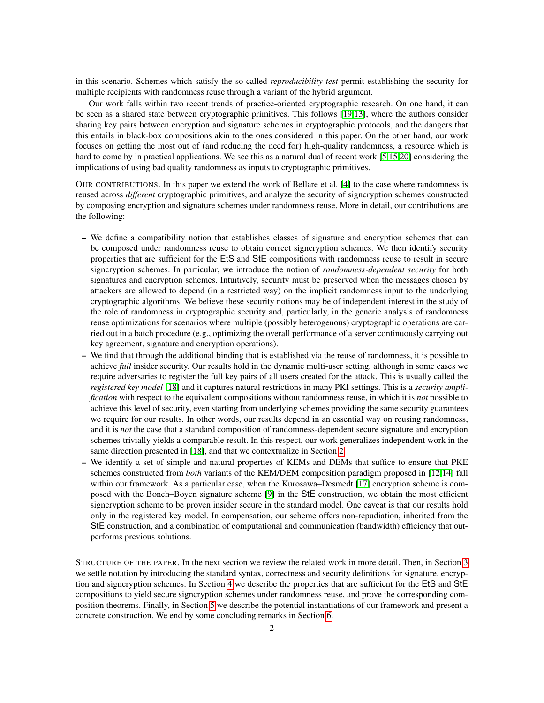in this scenario. Schemes which satisfy the so-called *reproducibility test* permit establishing the security for multiple recipients with randomness reuse through a variant of the hybrid argument.

Our work falls within two recent trends of practice-oriented cryptographic research. On one hand, it can be seen as a shared state between cryptographic primitives. This follows [\[19,](#page-14-5)[13\]](#page-14-6), where the authors consider sharing key pairs between encryption and signature schemes in cryptographic protocols, and the dangers that this entails in black-box compositions akin to the ones considered in this paper. On the other hand, our work focuses on getting the most out of (and reducing the need for) high-quality randomness, a resource which is hard to come by in practical applications. We see this as a natural dual of recent work [\[5,](#page-14-7)[15,](#page-14-8)[20\]](#page-14-9) considering the implications of using bad quality randomness as inputs to cryptographic primitives.

OUR CONTRIBUTIONS. In this paper we extend the work of Bellare et al. [\[4\]](#page-14-4) to the case where randomness is reused across *different* cryptographic primitives, and analyze the security of signcryption schemes constructed by composing encryption and signature schemes under randomness reuse. More in detail, our contributions are the following:

- We define a compatibility notion that establishes classes of signature and encryption schemes that can be composed under randomness reuse to obtain correct signcryption schemes. We then identify security properties that are sufficient for the EtS and StE compositions with randomness reuse to result in secure signcryption schemes. In particular, we introduce the notion of *randomness-dependent security* for both signatures and encryption schemes. Intuitively, security must be preserved when the messages chosen by attackers are allowed to depend (in a restricted way) on the implicit randomness input to the underlying cryptographic algorithms. We believe these security notions may be of independent interest in the study of the role of randomness in cryptographic security and, particularly, in the generic analysis of randomness reuse optimizations for scenarios where multiple (possibly heterogenous) cryptographic operations are carried out in a batch procedure (e.g., optimizing the overall performance of a server continuously carrying out key agreement, signature and encryption operations).
- We find that through the additional binding that is established via the reuse of randomness, it is possible to achieve *full* insider security. Our results hold in the dynamic multi-user setting, although in some cases we require adversaries to register the full key pairs of all users created for the attack. This is usually called the *registered key model* [\[18\]](#page-14-10) and it captures natural restrictions in many PKI settings. This is a *security amplification* with respect to the equivalent compositions without randomness reuse, in which it is *not* possible to achieve this level of security, even starting from underlying schemes providing the same security guarantees we require for our results. In other words, our results depend in an essential way on reusing randomness, and it is *not* the case that a standard composition of randomness-dependent secure signature and encryption schemes trivially yields a comparable result. In this respect, our work generalizes independent work in the same direction presented in [\[18\]](#page-14-10), and that we contextualize in Section [2.](#page-2-0)
- We identify a set of simple and natural properties of KEMs and DEMs that suffice to ensure that PKE schemes constructed from *both* variants of the KEM/DEM composition paradigm proposed in [\[12,](#page-14-11)[14\]](#page-14-12) fall within our framework. As a particular case, when the Kurosawa–Desmedt [\[17\]](#page-14-13) encryption scheme is composed with the Boneh–Boyen signature scheme [\[9\]](#page-14-14) in the StE construction, we obtain the most efficient signcryption scheme to be proven insider secure in the standard model. One caveat is that our results hold only in the registered key model. In compensation, our scheme offers non-repudiation, inherited from the StE construction, and a combination of computational and communication (bandwidth) efficiency that outperforms previous solutions.

STRUCTURE OF THE PAPER. In the next section we review the related work in more detail. Then, in Section [3](#page-2-1) we settle notation by introducing the standard syntax, correctness and security definitions for signature, encryption and signcryption schemes. In Section [4](#page-5-0) we describe the properties that are sufficient for the EtS and StE compositions to yield secure signcryption schemes under randomness reuse, and prove the corresponding composition theorems. Finally, in Section [5](#page-9-0) we describe the potential instantiations of our framework and present a concrete construction. We end by some concluding remarks in Section [6.](#page-13-0)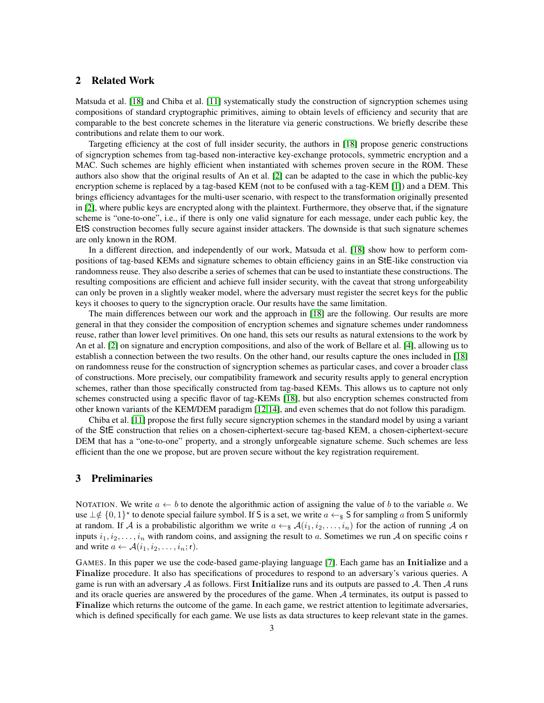# <span id="page-2-0"></span>2 Related Work

Matsuda et al. [\[18\]](#page-14-10) and Chiba et al. [\[11\]](#page-14-15) systematically study the construction of signcryption schemes using compositions of standard cryptographic primitives, aiming to obtain levels of efficiency and security that are comparable to the best concrete schemes in the literature via generic constructions. We briefly describe these contributions and relate them to our work.

Targeting efficiency at the cost of full insider security, the authors in [\[18\]](#page-14-10) propose generic constructions of signcryption schemes from tag-based non-interactive key-exchange protocols, symmetric encryption and a MAC. Such schemes are highly efficient when instantiated with schemes proven secure in the ROM. These authors also show that the original results of An et al. [\[2\]](#page-14-1) can be adapted to the case in which the public-key encryption scheme is replaced by a tag-based KEM (not to be confused with a tag-KEM [\[1\]](#page-14-16)) and a DEM. This brings efficiency advantages for the multi-user scenario, with respect to the transformation originally presented in [\[2\]](#page-14-1), where public keys are encrypted along with the plaintext. Furthermore, they observe that, if the signature scheme is "one-to-one", i.e., if there is only one valid signature for each message, under each public key, the EtS construction becomes fully secure against insider attackers. The downside is that such signature schemes are only known in the ROM.

In a different direction, and independently of our work, Matsuda et al. [\[18\]](#page-14-10) show how to perform compositions of tag-based KEMs and signature schemes to obtain efficiency gains in an StE-like construction via randomness reuse. They also describe a series of schemes that can be used to instantiate these constructions. The resulting compositions are efficient and achieve full insider security, with the caveat that strong unforgeability can only be proven in a slightly weaker model, where the adversary must register the secret keys for the public keys it chooses to query to the signcryption oracle. Our results have the same limitation.

The main differences between our work and the approach in [\[18\]](#page-14-10) are the following. Our results are more general in that they consider the composition of encryption schemes and signature schemes under randomness reuse, rather than lower level primitives. On one hand, this sets our results as natural extensions to the work by An et al. [\[2\]](#page-14-1) on signature and encryption compositions, and also of the work of Bellare et al. [\[4\]](#page-14-4), allowing us to establish a connection between the two results. On the other hand, our results capture the ones included in [\[18\]](#page-14-10) on randomness reuse for the construction of signcryption schemes as particular cases, and cover a broader class of constructions. More precisely, our compatibility framework and security results apply to general encryption schemes, rather than those specifically constructed from tag-based KEMs. This allows us to capture not only schemes constructed using a specific flavor of tag-KEMs [\[18\]](#page-14-10), but also encryption schemes constructed from other known variants of the KEM/DEM paradigm [\[12,](#page-14-11)[14\]](#page-14-12), and even schemes that do not follow this paradigm.

Chiba et al. [\[11\]](#page-14-15) propose the first fully secure signcryption schemes in the standard model by using a variant of the StE construction that relies on a chosen-ciphertext-secure tag-based KEM, a chosen-ciphertext-secure DEM that has a "one-to-one" property, and a strongly unforgeable signature scheme. Such schemes are less efficient than the one we propose, but are proven secure without the key registration requirement.

# <span id="page-2-1"></span>3 Preliminaries

NOTATION. We write  $a \leftarrow b$  to denote the algorithmic action of assigning the value of b to the variable a. We use  $\perp \notin \{0,1\}^*$  to denote special failure symbol. If S is a set, we write  $a \leftarrow s$  S for sampling a from S uniformly at random. If A is a probabilistic algorithm we write  $a \leftarrow s \mathcal{A}(i_1, i_2, \dots, i_n)$  for the action of running A on inputs  $i_1, i_2, \ldots, i_n$  with random coins, and assigning the result to a. Sometimes we run A on specific coins r and write  $a \leftarrow \mathcal{A}(i_1, i_2, \dots, i_n; r)$ .

GAMES. In this paper we use the code-based game-playing language [\[7\]](#page-14-17). Each game has an Initialize and a Finalize procedure. It also has specifications of procedures to respond to an adversary's various queries. A game is run with an adversary A as follows. First Initialize runs and its outputs are passed to A. Then A runs and its oracle queries are answered by the procedures of the game. When  $A$  terminates, its output is passed to Finalize which returns the outcome of the game. In each game, we restrict attention to legitimate adversaries, which is defined specifically for each game. We use lists as data structures to keep relevant state in the games.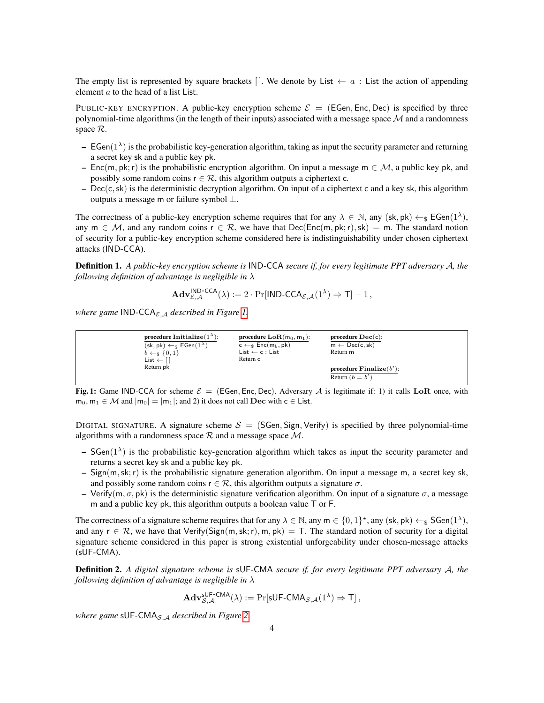The empty list is represented by square brackets []. We denote by List  $\leftarrow a$ : List the action of appending element a to the head of a list List.

PUBLIC-KEY ENCRYPTION. A public-key encryption scheme  $\mathcal{E} = (EGen, Enc, Dec)$  is specified by three polynomial-time algorithms (in the length of their inputs) associated with a message space  $\mathcal M$  and a randomness space  $\mathcal{R}$ .

- $-$  EGen( $1^{\lambda}$ ) is the probabilistic key-generation algorithm, taking as input the security parameter and returning a secret key sk and a public key pk.
- Enc(m, pk; r) is the probabilistic encryption algorithm. On input a message  $m \in M$ , a public key pk, and possibly some random coins  $r \in \mathcal{R}$ , this algorithm outputs a ciphertext c.
- $\nDec(c, sk)$  is the deterministic decryption algorithm. On input of a ciphertext c and a key sk, this algorithm outputs a message m or failure symbol ⊥.

The correctness of a public-key encryption scheme requires that for any  $\lambda \in \mathbb{N}$ , any  $(\mathsf{sk}, \mathsf{pk}) \leftarrow_{\mathsf{S}} \mathsf{EGen}(1^{\lambda}),$ any  $m \in \mathcal{M}$ , and any random coins  $r \in \mathcal{R}$ , we have that Dec(Enc(m, pk; r), sk) = m. The standard notion of security for a public-key encryption scheme considered here is indistinguishability under chosen ciphertext attacks (IND-CCA).

Definition 1. *A public-key encryption scheme is* IND*-*CCA *secure if, for every legitimate PPT adversary* A*, the following definition of advantage is negligible in* λ

$$
\mathbf{Adv}_{\mathcal{E},\mathcal{A}}^{\mathsf{IND-CCA}}(\lambda) := 2\cdot \Pr[\mathsf{IND-CCA}_{\mathcal{E},\mathcal{A}}(1^\lambda) \Rightarrow \mathsf{T}] - 1\,,
$$

*where game*  $IND-CCA$ <sub> $\epsilon$ , *A described in Figure [1.](#page-3-0)*</sub>

<span id="page-3-0"></span>

Fig. 1: Game IND-CCA for scheme  $\mathcal{E} = (EGen, Enc, Dec)$ . Adversary A is legitimate if: 1) it calls LoR once, with  $m_0, m_1 \in \mathcal{M}$  and  $|m_0| = |m_1|$ ; and 2) it does not call **Dec** with  $c \in$  List.

DIGITAL SIGNATURE. A signature scheme  $S = (SGen, Sign, Verify)$  is specified by three polynomial-time algorithms with a randomness space  $R$  and a message space  $M$ .

- $-$  SGen( $1^{\lambda}$ ) is the probabilistic key-generation algorithm which takes as input the security parameter and returns a secret key sk and a public key pk.
- $-$  Sign(m, sk; r) is the probabilistic signature generation algorithm. On input a message m, a secret key sk, and possibly some random coins  $r \in \mathcal{R}$ , this algorithm outputs a signature  $\sigma$ .
- Verify(m,  $\sigma$ , pk) is the deterministic signature verification algorithm. On input of a signature  $\sigma$ , a message m and a public key pk, this algorithm outputs a boolean value  $\top$  or  $\vdash$ .

The correctness of a signature scheme requires that for any  $\lambda \in \mathbb{N}$ , any  $m \in \{0,1\}^*$ , any  $(\textsf{sk}, \textsf{pk}) \leftarrow \S$  SGen $(1^{\lambda})$ , and any  $r \in \mathcal{R}$ , we have that Verify(Sign(m, sk; r), m, pk) = T. The standard notion of security for a digital signature scheme considered in this paper is strong existential unforgeability under chosen-message attacks (sUF-CMA).

Definition 2. *A digital signature scheme is* sUF*-*CMA *secure if, for every legitimate PPT adversary* A*, the following definition of advantage is negligible in* λ

$$
\mathbf{Adv}_{\mathcal{S},\mathcal{A}}^{\mathsf{sUF-CMA}}(\lambda) := \Pr[\mathsf{sUF-CMA}_{\mathcal{S},\mathcal{A}}(1^{\lambda}) \Rightarrow \mathsf{T}],
$$

*where game* sUF*-*CMA<sup>S</sup>,<sup>A</sup> *described in Figure [2.](#page-4-0)*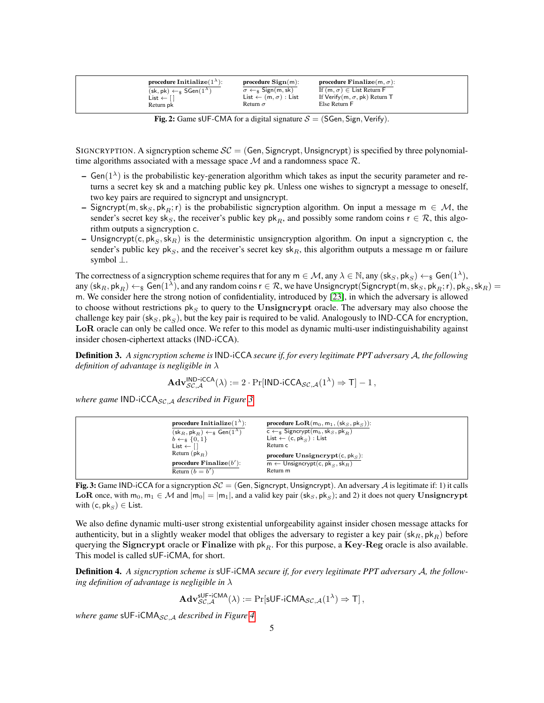<span id="page-4-0"></span>

| $\sigma \leftarrow_{\rm s}$ Sign(m, sk)<br>If $(m, \sigma) \in$ List Return F<br>$(\mathsf{sk}, \mathsf{pk}) \leftarrow_{\mathsf{s}} \mathsf{SGen}(1^{\lambda})$<br>List $\leftarrow$ (m, $\sigma$ ) : List<br>If Verify $(m, \sigma, pk)$ Return T<br>List $\leftarrow$<br>Else Return F<br>Return $\sigma$<br>Return pk |
|---------------------------------------------------------------------------------------------------------------------------------------------------------------------------------------------------------------------------------------------------------------------------------------------------------------------------|
|---------------------------------------------------------------------------------------------------------------------------------------------------------------------------------------------------------------------------------------------------------------------------------------------------------------------------|

**Fig. 2:** Game sUF-CMA for a digital signature  $S = (SGen, Sign, Verify)$ .

SIGNCRYPTION. A signcryption scheme  $SC = (Gen, Signcrypt, Unsigncrypt)$  is specified by three polynomialtime algorithms associated with a message space  $M$  and a randomness space  $R$ .

- $-$  Gen( $1^{\lambda}$ ) is the probabilistic key-generation algorithm which takes as input the security parameter and returns a secret key sk and a matching public key pk. Unless one wishes to signcrypt a message to oneself, two key pairs are required to signcrypt and unsigncrypt.
- Signcrypt(m, sk<sub>S</sub>, pk<sub>R</sub>; r) is the probabilistic signcryption algorithm. On input a message m  $\in$  M, the sender's secret key sk<sub>S</sub>, the receiver's public key pk<sub>R</sub>, and possibly some random coins  $r \in \mathcal{R}$ , this algorithm outputs a signcryption c.
- Unsigncrypt(c, pk<sub>S</sub>, sk<sub>R</sub>) is the deterministic unsigncryption algorithm. On input a signcryption c, the sender's public key pk<sub>S</sub>, and the receiver's secret key sk<sub>R</sub>, this algorithm outputs a message m or failure symbol ⊥.

The correctness of a signcryption scheme requires that for any  $m \in \mathcal{M}$ , any  $\lambda \in \mathbb{N}$ , any  $(\text{sk}_S, \text{pk}_S) \leftarrow \{ \text{Sen}(1^{\lambda}),$ any  $(\textsf{sk}_R, \textsf{pk}_R) \leftarrow_s \textsf{Gen}(1^\lambda)$ , and any random coins  $\mathsf{r} \in \mathcal{R}$ , we have Unsigncrypt(Signcrypt(m, sks, pk $_R$ ; r), pks, sk $_R$ ) = m. We consider here the strong notion of confidentiality, introduced by [\[23\]](#page-14-3), in which the adversary is allowed to choose without restrictions pk<sub>S</sub> to query to the Unsigncrypt oracle. The adversary may also choose the challenge key pair (sk<sub>S</sub>, pk<sub>S</sub>), but the key pair is required to be valid. Analogously to IND-CCA for encryption, LoR oracle can only be called once. We refer to this model as dynamic multi-user indistinguishability against insider chosen-ciphertext attacks (IND-iCCA).

Definition 3. *A signcryption scheme is* IND*-*iCCA *secure if, for every legitimate PPT adversary* A*, the following definition of advantage is negligible in* λ

$$
\mathbf{Adv}_{\mathcal{SC},\mathcal{A}}^{\mathsf{IND}\text{-}\mathsf{icCA}}(\lambda) := 2\cdot \Pr[\mathsf{IND}\text{-}\mathsf{iCCA}_{\mathcal{SC},\mathcal{A}}(1^{\lambda}) \Rightarrow \mathsf{T}] - 1\,,
$$

*where game* IND*-*iCCASC,<sup>A</sup> *described in Figure [3.](#page-4-1)*

<span id="page-4-1"></span>

| procedure Initialize( $1^{\lambda}$ ):<br><b>procedure</b> $\mathbf{LoR}(m_0, m_1, (sk_S, pk_S))$ :<br>$c \leftarrow$ Signcrypt $(m_b, sk_S, pk_B)$<br>$(\mathsf{sk}_R, \mathsf{pk}_R) \leftarrow_{\$} \mathsf{Gen}(1^{\lambda})$<br>List $\leftarrow$ (c, pk <sub>s</sub> ) : List<br>$b \leftarrow_{\mathcal{R}} \{0, 1\}$<br>Return c<br>List $\leftarrow$ [<br>Return ( $pkD$ )<br>procedure Unsigncrypt(c, $pk_{\varphi}$ ):<br>procedure Finalize $(b')$ :<br>$m \leftarrow$ Unsigncrypt(c, pk <sub>s</sub> , sk <sub>R</sub> )<br>Return m<br>Return $(b = b')$ |  |
|------------------------------------------------------------------------------------------------------------------------------------------------------------------------------------------------------------------------------------------------------------------------------------------------------------------------------------------------------------------------------------------------------------------------------------------------------------------------------------------------------------------------------------------------------------------------|--|
|------------------------------------------------------------------------------------------------------------------------------------------------------------------------------------------------------------------------------------------------------------------------------------------------------------------------------------------------------------------------------------------------------------------------------------------------------------------------------------------------------------------------------------------------------------------------|--|

Fig. 3: Game IND-iCCA for a signcryption  $SC = (Gen, Signcrypt, Unsigncrypt)$ . An adversary A is legitimate if: 1) it calls **LoR** once, with  $m_0, m_1 \in \mathcal{M}$  and  $|m_0| = |m_1|$ , and a valid key pair (sks,  $pk_S$ ); and 2) it does not query Unsigncrypt with  $(c, pk_S) \in$  List.

We also define dynamic multi-user strong existential unforgeability against insider chosen message attacks for authenticity, but in a slightly weaker model that obliges the adversary to register a key pair  $(\mathsf{sk}_R, \mathsf{pk}_R)$  before querying the Signcrypt oracle or Finalize with  $pk<sub>R</sub>$ . For this purpose, a Key-Reg oracle is also available. This model is called sUF-iCMA, for short.

Definition 4. *A signcryption scheme is* sUF*-*iCMA *secure if, for every legitimate PPT adversary* A*, the following definition of advantage is negligible in* λ

$$
\mathbf{Adv}_{\mathcal{SC},\mathcal{A}}^{\mathsf{sUF-iCMA}}(\lambda) := \Pr[\mathsf{sUF-iCMA}_{\mathcal{SC},\mathcal{A}}(1^{\lambda}) \Rightarrow \mathsf{T}],
$$

*where game* sUF-*iCMA<sub>SC, A</sub> described in Figure [4.](#page-5-1)*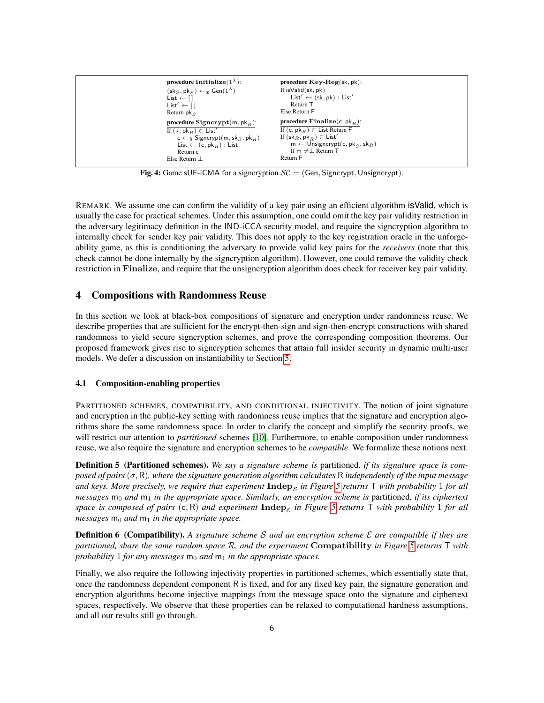<span id="page-5-1"></span>

Fig. 4: Game sUF-iCMA for a signcryption  $SC = (Gen, Signcrypt, Unsigncrypt)$ .

REMARK. We assume one can confirm the validity of a key pair using an efficient algorithm isValid, which is usually the case for practical schemes. Under this assumption, one could omit the key pair validity restriction in the adversary legitimacy definition in the IND-iCCA security model, and require the signcryption algorithm to internally check for sender key pair validity. This does not apply to the key registration oracle in the unforgeability game, as this is conditioning the adversary to provide valid key pairs for the *receivers* (note that this check cannot be done internally by the signcryption algorithm). However, one could remove the validity check restriction in Finalize, and require that the unsigncryption algorithm does check for receiver key pair validity.

# <span id="page-5-0"></span>4 Compositions with Randomness Reuse

In this section we look at black-box compositions of signature and encryption under randomness reuse. We describe properties that are sufficient for the encrypt-then-sign and sign-then-encrypt constructions with shared randomness to yield secure signcryption schemes, and prove the corresponding composition theorems. Our proposed framework gives rise to signcryption schemes that attain full insider security in dynamic multi-user models. We defer a discussion on instantiability to Section [5.](#page-9-0)

#### 4.1 Composition-enabling properties

PARTITIONED SCHEMES, COMPATIBILITY, AND CONDITIONAL INJECTIVITY. The notion of joint signature and encryption in the public-key setting with randomness reuse implies that the signature and encryption algorithms share the same randomness space. In order to clarify the concept and simplify the security proofs, we will restrict our attention to *partitioned* schemes [\[10\]](#page-14-18). Furthermore, to enable composition under randomness reuse, we also require the signature and encryption schemes to be *compatible*. We formalize these notions next.

Definition 5 (Partitioned schemes). *We say a signature scheme is* partitioned*, if its signature space is composed of pairs* (σ, R)*, where the signature generation algorithm calculates* R *independently of the input message* and keys. More precisely, we require that experiment  $\text{Indep}_S$  in Figure [5](#page-6-0) returns  $\text{T}$  with probability 1 for all *messages*  $m_0$  *and*  $m_1$  *in the appropriate space. Similarly, an encryption scheme is partitioned, if its ciphertext*  $space$  is composed of pairs  $(c, R)$  and experiment  $\textbf{Indep}_{\mathcal{E}}$  in Figure [5](#page-6-0) returns  $\textsf{T}$  with probability 1 for all *messages*  $m_0$  *and*  $m_1$  *in the appropriate space.* 

Definition 6 (Compatibility). *A signature scheme* S *and an encryption scheme* E *are compatible if they are partitioned, share the same random space* R*, and the experiment* Compatibility *in Figure [5](#page-6-0) returns* T *with probability* 1 *for any messages*  $m_0$  *and*  $m_1$  *in the appropriate spaces.* 

Finally, we also require the following injectivity properties in partitioned schemes, which essentially state that, once the randomness dependent component R is fixed, and for any fixed key pair, the signature generation and encryption algorithms become injective mappings from the message space onto the signature and ciphertext spaces, respectively. We observe that these properties can be relaxed to computational hardness assumptions, and all our results still go through.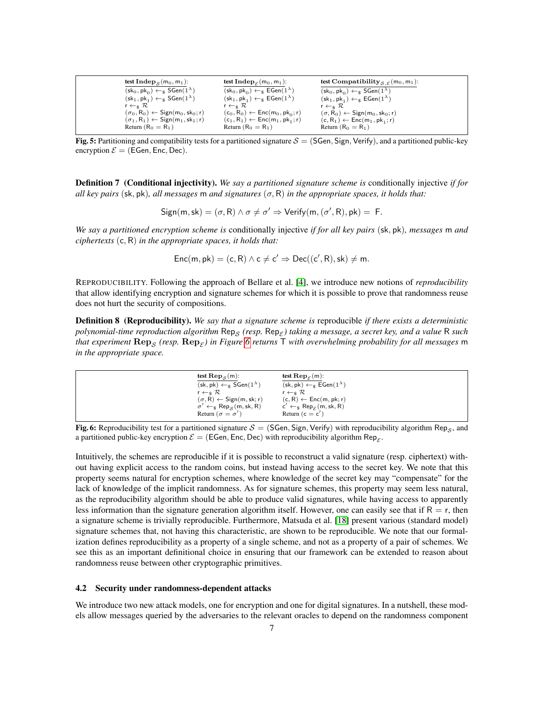<span id="page-6-0"></span>

| test Indep <sub>S</sub> $(m_0, m_1)$ :<br>$(\mathsf{sk}_0, \mathsf{pk}_0) \leftarrow \mathsf{s} \mathsf{SGen}(1^{\lambda})$ | test Indep <sub><math>\varepsilon</math></sub> $(m_0, m_1)$ :<br>$(\mathsf{sk}_0, \mathsf{pk}_0) \leftarrow \mathsf{g} \mathsf{EGen}(1^{\lambda})$ | test Compatibility $s \in (m_0, m_1)$ :                                                                                                                                  |
|-----------------------------------------------------------------------------------------------------------------------------|----------------------------------------------------------------------------------------------------------------------------------------------------|--------------------------------------------------------------------------------------------------------------------------------------------------------------------------|
| $(\mathsf{sk}_1, \mathsf{pk}_1) \leftarrow_{\mathsf{R}} \mathsf{SGen}(1^{\lambda})$                                         | $(\mathsf{sk}_1, \mathsf{pk}_1) \leftarrow_{\mathsf{s}} \mathsf{EGen}(1^{\lambda})$                                                                | $(\mathsf{sk}_0, \mathsf{pk}_0) \leftarrow_{\mathsf{s}} \mathsf{SGen}(1^{\lambda})$<br>$(\mathsf{sk}_1, \mathsf{pk}_1) \leftarrow \mathsf{s} \mathsf{EGen}(1^{\lambda})$ |
| $r \leftarrow \in \mathcal{R}$                                                                                              | $r \leftarrow s \mathcal{R}$                                                                                                                       | $r \leftarrow R$                                                                                                                                                         |
| $(\sigma_0, R_0) \leftarrow$ Sign(m <sub>0</sub> , sk <sub>0</sub> ; r)                                                     | $(c_0, R_0) \leftarrow \mathsf{Enc}(m_0, \mathsf{pk}_0; r)$                                                                                        | $(\sigma, R_0) \leftarrow$ Sign $(m_0, sk_0; r)$                                                                                                                         |
| $(\sigma_1, R_1) \leftarrow$ Sign(m <sub>1</sub> , sk <sub>1</sub> ; r)                                                     | $(c_1, R_1) \leftarrow \text{Enc}(m_1, pk_1; r)$                                                                                                   | $(c, R_1) \leftarrow Enc(m_1, pk_1; r)$                                                                                                                                  |
| Return $(R_0 = R_1)$                                                                                                        | Return $(R_0 = R_1)$                                                                                                                               | Return $(R_0 = R_1)$                                                                                                                                                     |

Fig. 5: Partitioning and compatibility tests for a partitioned signature  $S = (SGen, Sign, Verify)$ , and a partitioned public-key encryption  $\mathcal{E} = (EGen, Enc, Dec).$ 

Definition 7 (Conditional injectivity). *We say a partitioned signature scheme is* conditionally injective *if for all key pairs* (sk, pk)*, all messages* m *and signatures* (σ, R) *in the appropriate spaces, it holds that:*

Sign(m, sk) = 
$$
(\sigma, R) \land \sigma \neq \sigma' \Rightarrow
$$
 Verify(m,  $(\sigma', R)$ , pk) = F.

*We say a partitioned encryption scheme is* conditionally injective *if for all key pairs* (sk, pk)*, messages* m *and ciphertexts* (c, R) *in the appropriate spaces, it holds that:*

$$
Enc(m, pk) = (c, R) \land c \neq c' \Rightarrow Dec((c', R), sk) \neq m.
$$

REPRODUCIBILITY. Following the approach of Bellare et al. [\[4\]](#page-14-4), we introduce new notions of *reproducibility* that allow identifying encryption and signature schemes for which it is possible to prove that randomness reuse does not hurt the security of compositions.

Definition 8 (Reproducibility). *We say that a signature scheme is* reproducible *if there exists a deterministic*  $p$ olynomial-time reproduction algorithm  $\mathsf{Rep}_\mathcal{S}$  *(resp.*  $\mathsf{Rep}_\mathcal{E}$ *) taking a message, a secret key, and a value*  $\mathsf R$  *such* that experiment  $\text{Rep}_{\mathcal{S}}$  (resp.  $\text{Rep}_{\mathcal{E}}$ ) in Figure [6](#page-6-1) returns T with overwhelming probability for all messages  $\textsf{m}$ *in the appropriate space.*

<span id="page-6-1"></span>

| test $\mathbf{Rep}_{\mathcal{S}}(m)$ :<br>$(\mathsf{sk}, \mathsf{pk}) \leftarrow_{\mathsf{s}} \mathsf{SGen}(1^{\lambda})$<br>$r \leftarrow_{\mathfrak{D}} \mathcal{R}$<br>$(\sigma, R) \leftarrow$ Sign(m, sk; r)<br>$\sigma' \leftarrow_{\rm s} {\rm Rep}_{\rm s}(m, {\rm sk}, R)$ | test $\mathbf{Rep}_{\mathcal{E}}(m)$ :<br>$(\mathsf{sk}, \mathsf{pk}) \leftarrow_{\$} \mathsf{EGen}(1^{\lambda})$<br>$r \leftarrow_{\Re} \mathcal{R}$<br>$(c, R) \leftarrow Enc(m, pk; r)$<br>$c' \leftarrow_s \text{Rep}_{\mathcal{E}}(m, sk, R)$ |
|-------------------------------------------------------------------------------------------------------------------------------------------------------------------------------------------------------------------------------------------------------------------------------------|----------------------------------------------------------------------------------------------------------------------------------------------------------------------------------------------------------------------------------------------------|
| Return ( $\sigma = \sigma'$ )                                                                                                                                                                                                                                                       | Return $(c = c')$                                                                                                                                                                                                                                  |

Fig. 6: Reproducibility test for a partitioned signature  $S = (SGen, Sign, Verify)$  with reproducibility algorithm Rep<sub>S</sub>, and a partitioned public-key encryption  $\mathcal{E} = (E$ Gen, Enc, Dec) with reproducibility algorithm Rep $_{\mathcal{E}}$ .

Intuitively, the schemes are reproducible if it is possible to reconstruct a valid signature (resp. ciphertext) without having explicit access to the random coins, but instead having access to the secret key. We note that this property seems natural for encryption schemes, where knowledge of the secret key may "compensate" for the lack of knowledge of the implicit randomness. As for signature schemes, this property may seem less natural, as the reproducibility algorithm should be able to produce valid signatures, while having access to apparently less information than the signature generation algorithm itself. However, one can easily see that if  $R = r$ , then a signature scheme is trivially reproducible. Furthermore, Matsuda et al. [\[18\]](#page-14-10) present various (standard model) signature schemes that, not having this characteristic, are shown to be reproducible. We note that our formalization defines reproducibility as a property of a single scheme, and not as a property of a pair of schemes. We see this as an important definitional choice in ensuring that our framework can be extended to reason about randomness reuse between other cryptographic primitives.

#### 4.2 Security under randomness-dependent attacks

We introduce two new attack models, one for encryption and one for digital signatures. In a nutshell, these models allow messages queried by the adversaries to the relevant oracles to depend on the randomness component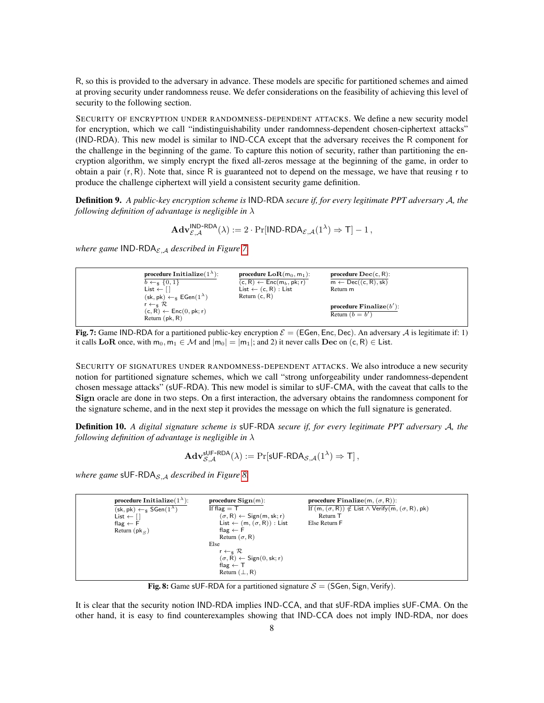R, so this is provided to the adversary in advance. These models are specific for partitioned schemes and aimed at proving security under randomness reuse. We defer considerations on the feasibility of achieving this level of security to the following section.

SECURITY OF ENCRYPTION UNDER RANDOMNESS-DEPENDENT ATTACKS. We define a new security model for encryption, which we call "indistinguishability under randomness-dependent chosen-ciphertext attacks" (IND-RDA). This new model is similar to IND-CCA except that the adversary receives the R component for the challenge in the beginning of the game. To capture this notion of security, rather than partitioning the encryption algorithm, we simply encrypt the fixed all-zeros message at the beginning of the game, in order to obtain a pair  $(r, R)$ . Note that, since R is guaranteed not to depend on the message, we have that reusing r to produce the challenge ciphertext will yield a consistent security game definition.

Definition 9. *A public-key encryption scheme is* IND*-*RDA *secure if, for every legitimate PPT adversary* A*, the following definition of advantage is negligible in* λ

$$
\mathbf{Adv}_{\mathcal{E},\mathcal{A}}^{\mathsf{IND-RDA}}(\lambda) := 2 \cdot \Pr[\mathsf{IND-RDA}_{\mathcal{E},\mathcal{A}}(1^{\lambda}) \Rightarrow \mathsf{T}] - 1\,,
$$

*where game*  $IND-RDA<sub>E,A</sub>$  *described in Figure* [7.](#page-7-0)

<span id="page-7-0"></span>

Fig. 7: Game IND-RDA for a partitioned public-key encryption  $\mathcal{E} = (EGen, Enc, Dec)$ . An adversary A is legitimate if: 1) it calls LoR once, with  $m_0, m_1 \in \mathcal{M}$  and  $|m_0| = |m_1|$ ; and 2) it never calls Dec on  $(c, R) \in$  List.

SECURITY OF SIGNATURES UNDER RANDOMNESS-DEPENDENT ATTACKS. We also introduce a new security notion for partitioned signature schemes, which we call "strong unforgeability under randomness-dependent chosen message attacks" (sUF-RDA). This new model is similar to sUF-CMA, with the caveat that calls to the Sign oracle are done in two steps. On a first interaction, the adversary obtains the randomness component for the signature scheme, and in the next step it provides the message on which the full signature is generated.

Definition 10. *A digital signature scheme is* sUF*-*RDA *secure if, for every legitimate PPT adversary* A*, the following definition of advantage is negligible in* λ

$$
\mathbf{Adv}_{\mathcal{S},\mathcal{A}}^{\mathsf{sUF-RDA}}(\lambda) := \Pr[\mathsf{sUF-RDA}_{\mathcal{S},\mathcal{A}}(1^\lambda) \Rightarrow \mathsf{T}],
$$

*where game* sUF-RDA<sub>S, A</sub> *described in Figure [8.](#page-7-1)* 

<span id="page-7-1"></span>

Fig. 8: Game sUF-RDA for a partitioned signature  $S = (SGen, Sign, Verify)$ .

It is clear that the security notion IND-RDA implies IND-CCA, and that sUF-RDA implies sUF-CMA. On the other hand, it is easy to find counterexamples showing that IND-CCA does not imply IND-RDA, nor does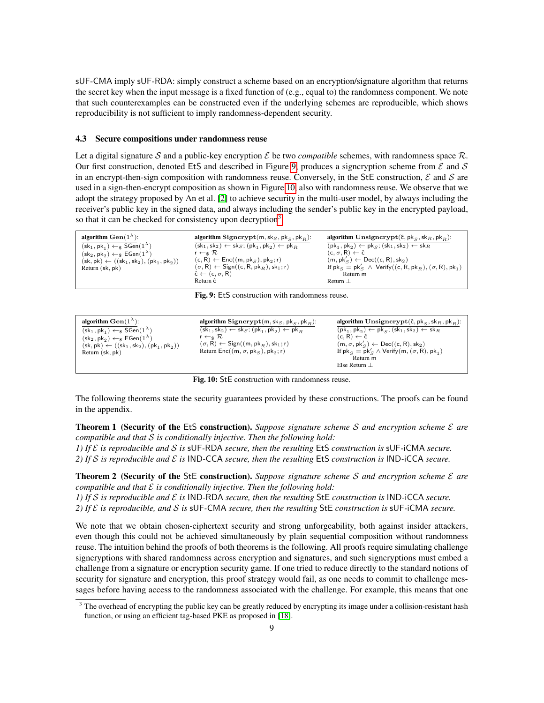sUF-CMA imply sUF-RDA: simply construct a scheme based on an encryption/signature algorithm that returns the secret key when the input message is a fixed function of (e.g., equal to) the randomness component. We note that such counterexamples can be constructed even if the underlying schemes are reproducible, which shows reproducibility is not sufficient to imply randomness-dependent security.

#### 4.3 Secure compositions under randomness reuse

Let a digital signature S and a public-key encryption  $\mathcal E$  be two *compatible* schemes, with randomness space  $\mathcal R$ . Our first construction, denoted EtS and described in Figure [9,](#page-8-0) produces a signcryption scheme from  $\mathcal E$  and  $\mathcal S$ in an encrypt-then-sign composition with randomness reuse. Conversely, in the StE construction,  $\mathcal E$  and  $\mathcal S$  are used in a sign-then-encrypt composition as shown in Figure [10,](#page-8-1) also with randomness reuse. We observe that we adopt the strategy proposed by An et al. [\[2\]](#page-14-1) to achieve security in the multi-user model, by always including the receiver's public key in the signed data, and always including the sender's public key in the encrypted payload, so that it can be checked for consistency upon decryption<sup>[3](#page-8-2)</sup>.

<span id="page-8-0"></span>

| algorithm Gen $(1^{\lambda})$ :                                                        | algorithm Signcrypt(m, sk <sub>S</sub> , pk <sub>S</sub> , pk <sub>R</sub> ):                                      | algorithm Unsigncrypt $(\hat{c},pk_S, sk_B, pk_B)$ :                                                               |
|----------------------------------------------------------------------------------------|--------------------------------------------------------------------------------------------------------------------|--------------------------------------------------------------------------------------------------------------------|
| $(\mathsf{sk}_1, \mathsf{pk}_1) \leftarrow \mathsf{s} \mathsf{SGen}(1^{\lambda})$      | $(\mathsf{sk}_1, \mathsf{sk}_2) \leftarrow \mathsf{sk}_S; (\mathsf{pk}_1, \mathsf{pk}_2) \leftarrow \mathsf{pk}_R$ | $(\mathsf{pk}_1, \mathsf{pk}_2) \leftarrow \mathsf{pk}_S; (\mathsf{sk}_1, \mathsf{sk}_2) \leftarrow \mathsf{sk}_R$ |
| $(\mathsf{sk}_2, \mathsf{pk}_2) \leftarrow_{\mathsf{S}} \mathsf{EGen}(1^{\lambda})$    | $r \leftarrow s \mathcal{R}$                                                                                       | $(c, \sigma, R) \leftarrow \hat{c}$                                                                                |
| $({\sf sk}, {\sf pk}) \leftarrow (({\sf sk}_1, {\sf sk}_2), ({\sf pk}_1, {\sf pk}_2))$ | $(c, R) \leftarrow \mathsf{Enc}((m, pk_s), pk_2; r)$                                                               | $(m, pk'_{S}) \leftarrow Dec((c, R), sk_{2})$                                                                      |
| Return (sk, pk)                                                                        | $(\sigma, R) \leftarrow$ Sign((c, R, pk <sub>R</sub> ), sk <sub>1</sub> ; r)                                       | If $pk_S = pk'_S \wedge Verify((c, R, pk_B), (\sigma, R), pk_1)$                                                   |
|                                                                                        | $\hat{c} \leftarrow (c, \sigma, R)$                                                                                | Return m                                                                                                           |
|                                                                                        | Return ĉ                                                                                                           | Return $\perp$                                                                                                     |

Fig. 9: EtS construction with randomness reuse.

<span id="page-8-1"></span>

| algorithm $Gen(1^{\lambda})$ :                                                                                                                                                | algorithm Signcrypt(m, sk <sub>S</sub> , pk <sub>S</sub> , pk <sub>B</sub> ):                                      | algorithm Unsigncrypt $(\hat{c}, pk_S, sk_R, pk_B)$ :                                                                                             |
|-------------------------------------------------------------------------------------------------------------------------------------------------------------------------------|--------------------------------------------------------------------------------------------------------------------|---------------------------------------------------------------------------------------------------------------------------------------------------|
| $(\mathsf{sk}_1, \mathsf{pk}_1) \leftarrow \mathsf{s} \mathsf{SGen}(1^{\lambda})$                                                                                             | $(\mathsf{sk}_1, \mathsf{sk}_2) \leftarrow \mathsf{sk}_S; (\mathsf{pk}_1, \mathsf{pk}_2) \leftarrow \mathsf{pk}_B$ | $(\mathsf{pk}_1, \mathsf{pk}_2) \leftarrow \mathsf{pk}_S; (\mathsf{sk}_1, \mathsf{sk}_2) \leftarrow \mathsf{sk}_R$<br>$(c, R) \leftarrow \hat{c}$ |
| $(\mathsf{sk}_2, \mathsf{pk}_2) \leftarrow_{\mathsf{R}} \mathsf{EGen}(1^{\lambda})$<br>$({\sf sk}, {\sf pk}) \leftarrow (({\sf sk}_1, {\sf sk}_2), ({\sf pk}_1, {\sf pk}_2))$ | $r \leftarrow s \mathcal{R}$<br>$(\sigma, R) \leftarrow$ Sign((m, pk <sub>B</sub> ), sk <sub>1</sub> ; r)          | $(m, \sigma, \mathrm{pk}_S') \leftarrow \mathrm{Dec}((c, R), sk_2)$                                                                               |
| Return $(\mathsf{sk}, \mathsf{pk})$                                                                                                                                           | Return Enc((m, $\sigma$ , pk <sub>s</sub> ), pk <sub>2</sub> ; r)                                                  | If $pk_{S} = pk'_{S} \wedge Verify(m, (\sigma, R), pk_{1})$                                                                                       |
|                                                                                                                                                                               |                                                                                                                    | Return m<br>Else Return $\perp$                                                                                                                   |

Fig. 10: StE construction with randomness reuse.

The following theorems state the security guarantees provided by these constructions. The proofs can be found in the appendix.

<span id="page-8-3"></span>Theorem 1 (Security of the EtS construction). *Suppose signature scheme* S *and encryption scheme* E *are compatible and that* S *is conditionally injective. Then the following hold:*

*1) If* E *is reproducible and* S *is* sUF*-*RDA *secure, then the resulting* EtS *construction is* sUF*-*iCMA *secure. 2) If* S *is reproducible and* E *is* IND*-*CCA *secure, then the resulting* EtS *construction is* IND*-*iCCA *secure.*

<span id="page-8-4"></span>Theorem 2 (Security of the StE construction). *Suppose signature scheme* S *and encryption scheme* E *are compatible and that*  $\mathcal E$  *is conditionally injective. Then the following hold:* 

*1) If* S *is reproducible and* E *is* IND*-*RDA *secure, then the resulting* StE *construction is* IND*-*iCCA *secure. 2) If* E *is reproducible, and* S *is* sUF*-*CMA *secure, then the resulting* StE *construction is* sUF*-*iCMA *secure.*

We note that we obtain chosen-ciphertext security and strong unforgeability, both against insider attackers, even though this could not be achieved simultaneously by plain sequential composition without randomness reuse. The intuition behind the proofs of both theorems is the following. All proofs require simulating challenge signcryptions with shared randomness across encryption and signatures, and such signcryptions must embed a challenge from a signature or encryption security game. If one tried to reduce directly to the standard notions of security for signature and encryption, this proof strategy would fail, as one needs to commit to challenge messages before having access to the randomness associated with the challenge. For example, this means that one

<span id="page-8-2"></span><sup>&</sup>lt;sup>3</sup> The overhead of encrypting the public key can be greatly reduced by encrypting its image under a collision-resistant hash function, or using an efficient tag-based PKE as proposed in [\[18\]](#page-14-10).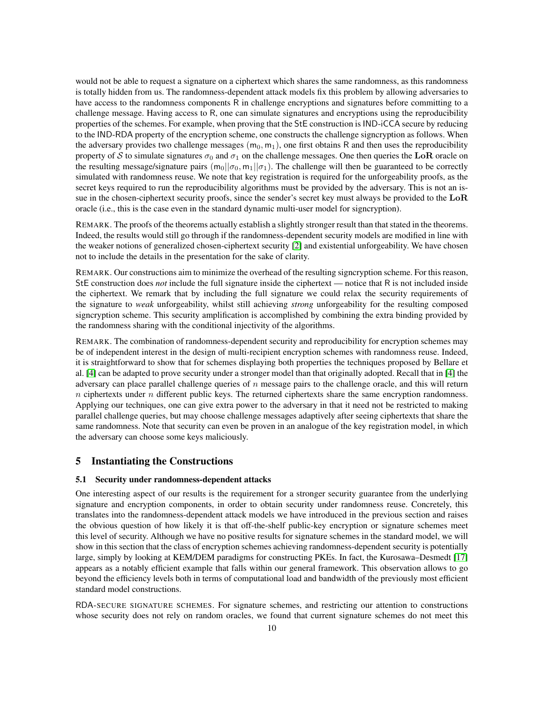would not be able to request a signature on a ciphertext which shares the same randomness, as this randomness is totally hidden from us. The randomness-dependent attack models fix this problem by allowing adversaries to have access to the randomness components R in challenge encryptions and signatures before committing to a challenge message. Having access to R, one can simulate signatures and encryptions using the reproducibility properties of the schemes. For example, when proving that the StE construction is IND-iCCA secure by reducing to the IND-RDA property of the encryption scheme, one constructs the challenge signcryption as follows. When the adversary provides two challenge messages  $(m_0, m_1)$ , one first obtains R and then uses the reproducibility property of S to simulate signatures  $\sigma_0$  and  $\sigma_1$  on the challenge messages. One then queries the LoR oracle on the resulting message/signature pairs  $(m_0||\sigma_0, m_1||\sigma_1)$ . The challenge will then be guaranteed to be correctly simulated with randomness reuse. We note that key registration is required for the unforgeability proofs, as the secret keys required to run the reproducibility algorithms must be provided by the adversary. This is not an issue in the chosen-ciphertext security proofs, since the sender's secret key must always be provided to the  $LoR$ oracle (i.e., this is the case even in the standard dynamic multi-user model for signcryption).

REMARK. The proofs of the theorems actually establish a slightly stronger result than that stated in the theorems. Indeed, the results would still go through if the randomness-dependent security models are modified in line with the weaker notions of generalized chosen-ciphertext security [\[2\]](#page-14-1) and existential unforgeability. We have chosen not to include the details in the presentation for the sake of clarity.

REMARK. Our constructions aim to minimize the overhead of the resulting signcryption scheme. For this reason, StE construction does *not* include the full signature inside the ciphertext — notice that R is not included inside the ciphertext. We remark that by including the full signature we could relax the security requirements of the signature to *weak* unforgeability, whilst still achieving *strong* unforgeability for the resulting composed signcryption scheme. This security amplification is accomplished by combining the extra binding provided by the randomness sharing with the conditional injectivity of the algorithms.

REMARK. The combination of randomness-dependent security and reproducibility for encryption schemes may be of independent interest in the design of multi-recipient encryption schemes with randomness reuse. Indeed, it is straightforward to show that for schemes displaying both properties the techniques proposed by Bellare et al. [\[4\]](#page-14-4) can be adapted to prove security under a stronger model than that originally adopted. Recall that in [\[4\]](#page-14-4) the adversary can place parallel challenge queries of  $n$  message pairs to the challenge oracle, and this will return  $n$  ciphertexts under  $n$  different public keys. The returned ciphertexts share the same encryption randomness. Applying our techniques, one can give extra power to the adversary in that it need not be restricted to making parallel challenge queries, but may choose challenge messages adaptively after seeing ciphertexts that share the same randomness. Note that security can even be proven in an analogue of the key registration model, in which the adversary can choose some keys maliciously.

# <span id="page-9-0"></span>5 Instantiating the Constructions

#### 5.1 Security under randomness-dependent attacks

One interesting aspect of our results is the requirement for a stronger security guarantee from the underlying signature and encryption components, in order to obtain security under randomness reuse. Concretely, this translates into the randomness-dependent attack models we have introduced in the previous section and raises the obvious question of how likely it is that off-the-shelf public-key encryption or signature schemes meet this level of security. Although we have no positive results for signature schemes in the standard model, we will show in this section that the class of encryption schemes achieving randomness-dependent security is potentially large, simply by looking at KEM/DEM paradigms for constructing PKEs. In fact, the Kurosawa–Desmedt [\[17\]](#page-14-13) appears as a notably efficient example that falls within our general framework. This observation allows to go beyond the efficiency levels both in terms of computational load and bandwidth of the previously most efficient standard model constructions.

RDA-SECURE SIGNATURE SCHEMES. For signature schemes, and restricting our attention to constructions whose security does not rely on random oracles, we found that current signature schemes do not meet this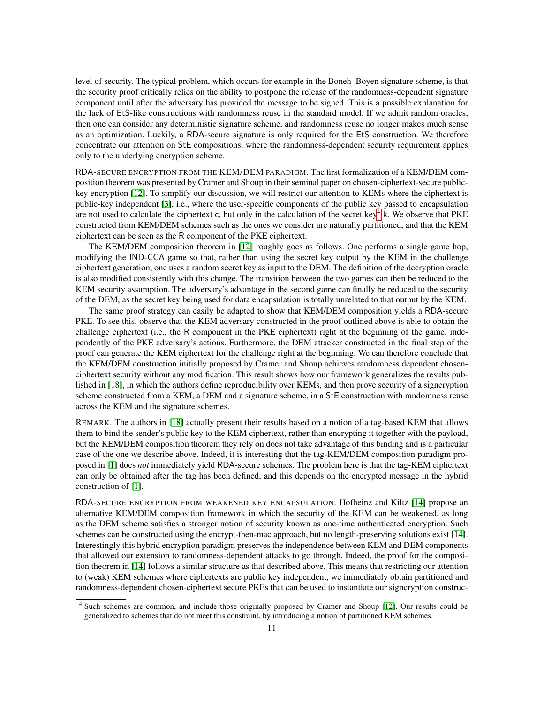level of security. The typical problem, which occurs for example in the Boneh–Boyen signature scheme, is that the security proof critically relies on the ability to postpone the release of the randomness-dependent signature component until after the adversary has provided the message to be signed. This is a possible explanation for the lack of EtS-like constructions with randomness reuse in the standard model. If we admit random oracles, then one can consider any deterministic signature scheme, and randomness reuse no longer makes much sense as an optimization. Luckily, a RDA-secure signature is only required for the EtS construction. We therefore concentrate our attention on StE compositions, where the randomness-dependent security requirement applies only to the underlying encryption scheme.

RDA-SECURE ENCRYPTION FROM THE KEM/DEM PARADIGM. The first formalization of a KEM/DEM composition theorem was presented by Cramer and Shoup in their seminal paper on chosen-ciphertext-secure publickey encryption [\[12\]](#page-14-11). To simplify our discussion, we will restrict our attention to KEMs where the ciphertext is public-key independent [\[3\]](#page-14-19), i.e., where the user-specific components of the public key passed to encapsulation are not used to calculate the ciphertext c, but only in the calculation of the secret key<sup>[4](#page-10-0)</sup> k. We observe that PKE constructed from KEM/DEM schemes such as the ones we consider are naturally partitioned, and that the KEM ciphertext can be seen as the R component of the PKE ciphertext.

The KEM/DEM composition theorem in [\[12\]](#page-14-11) roughly goes as follows. One performs a single game hop, modifying the IND-CCA game so that, rather than using the secret key output by the KEM in the challenge ciphertext generation, one uses a random secret key as input to the DEM. The definition of the decryption oracle is also modified consistently with this change. The transition between the two games can then be reduced to the KEM security assumption. The adversary's advantage in the second game can finally be reduced to the security of the DEM, as the secret key being used for data encapsulation is totally unrelated to that output by the KEM.

The same proof strategy can easily be adapted to show that KEM/DEM composition yields a RDA-secure PKE. To see this, observe that the KEM adversary constructed in the proof outlined above is able to obtain the challenge ciphertext (i.e., the R component in the PKE ciphertext) right at the beginning of the game, independently of the PKE adversary's actions. Furthermore, the DEM attacker constructed in the final step of the proof can generate the KEM ciphertext for the challenge right at the beginning. We can therefore conclude that the KEM/DEM construction initially proposed by Cramer and Shoup achieves randomness dependent chosenciphertext security without any modification. This result shows how our framework generalizes the results published in [\[18\]](#page-14-10), in which the authors define reproducibility over KEMs, and then prove security of a signcryption scheme constructed from a KEM, a DEM and a signature scheme, in a StE construction with randomness reuse across the KEM and the signature schemes.

REMARK. The authors in [\[18\]](#page-14-10) actually present their results based on a notion of a tag-based KEM that allows them to bind the sender's public key to the KEM ciphertext, rather than encrypting it together with the payload, but the KEM/DEM composition theorem they rely on does not take advantage of this binding and is a particular case of the one we describe above. Indeed, it is interesting that the tag-KEM/DEM composition paradigm proposed in [\[1\]](#page-14-16) does *not* immediately yield RDA-secure schemes. The problem here is that the tag-KEM ciphertext can only be obtained after the tag has been defined, and this depends on the encrypted message in the hybrid construction of [\[1\]](#page-14-16).

RDA-SECURE ENCRYPTION FROM WEAKENED KEY ENCAPSULATION. Hofheinz and Kiltz [\[14\]](#page-14-12) propose an alternative KEM/DEM composition framework in which the security of the KEM can be weakened, as long as the DEM scheme satisfies a stronger notion of security known as one-time authenticated encryption. Such schemes can be constructed using the encrypt-then-mac approach, but no length-preserving solutions exist [\[14\]](#page-14-12). Interestingly this hybrid encryption paradigm preserves the independence between KEM and DEM components that allowed our extension to randomness-dependent attacks to go through. Indeed, the proof for the composition theorem in [\[14\]](#page-14-12) follows a similar structure as that described above. This means that restricting our attention to (weak) KEM schemes where ciphertexts are public key independent, we immediately obtain partitioned and randomness-dependent chosen-ciphertext secure PKEs that can be used to instantiate our signcryption construc-

<span id="page-10-0"></span><sup>4</sup> Such schemes are common, and include those originally proposed by Cramer and Shoup [\[12\]](#page-14-11). Our results could be generalized to schemes that do not meet this constraint, by introducing a notion of partitioned KEM schemes.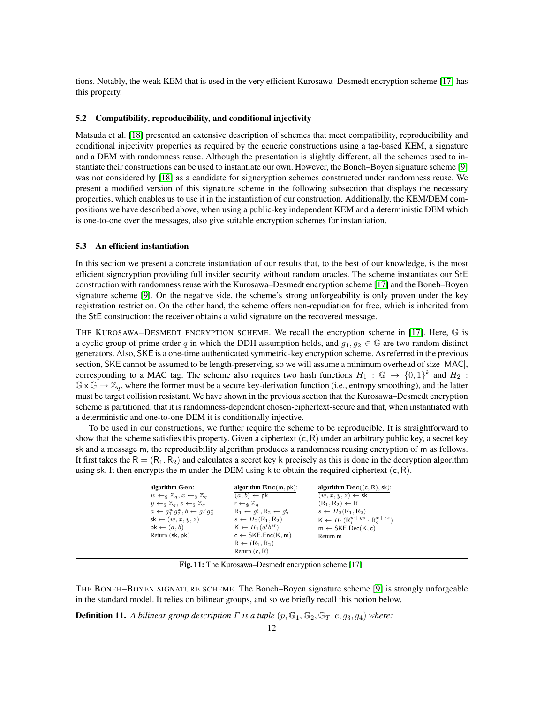tions. Notably, the weak KEM that is used in the very efficient Kurosawa–Desmedt encryption scheme [\[17\]](#page-14-13) has this property.

#### 5.2 Compatibility, reproducibility, and conditional injectivity

Matsuda et al. [\[18\]](#page-14-10) presented an extensive description of schemes that meet compatibility, reproducibility and conditional injectivity properties as required by the generic constructions using a tag-based KEM, a signature and a DEM with randomness reuse. Although the presentation is slightly different, all the schemes used to instantiate their constructions can be used to instantiate our own. However, the Boneh–Boyen signature scheme [\[9\]](#page-14-14) was not considered by [\[18\]](#page-14-10) as a candidate for signcryption schemes constructed under randomness reuse. We present a modified version of this signature scheme in the following subsection that displays the necessary properties, which enables us to use it in the instantiation of our construction. Additionally, the KEM/DEM compositions we have described above, when using a public-key independent KEM and a deterministic DEM which is one-to-one over the messages, also give suitable encryption schemes for instantiation.

#### 5.3 An efficient instantiation

In this section we present a concrete instantiation of our results that, to the best of our knowledge, is the most efficient signcryption providing full insider security without random oracles. The scheme instantiates our StE construction with randomness reuse with the Kurosawa–Desmedt encryption scheme [\[17\]](#page-14-13) and the Boneh–Boyen signature scheme [\[9\]](#page-14-14). On the negative side, the scheme's strong unforgeability is only proven under the key registration restriction. On the other hand, the scheme offers non-repudiation for free, which is inherited from the StE construction: the receiver obtains a valid signature on the recovered message.

THE KUROSAWA–DESMEDT ENCRYPTION SCHEME. We recall the encryption scheme in [\[17\]](#page-14-13). Here, G is a cyclic group of prime order q in which the DDH assumption holds, and  $g_1, g_2 \in \mathbb{G}$  are two random distinct generators. Also, SKE is a one-time authenticated symmetric-key encryption scheme. As referred in the previous section, SKE cannot be assumed to be length-preserving, so we will assume a minimum overhead of size |MAC|, corresponding to a MAC tag. The scheme also requires two hash functions  $H_1 : \mathbb{G} \to \{0,1\}^k$  and  $H_2$ :  $\mathbb{G} \times \mathbb{G} \to \mathbb{Z}_q$ , where the former must be a secure key-derivation function (i.e., entropy smoothing), and the latter must be target collision resistant. We have shown in the previous section that the Kurosawa–Desmedt encryption scheme is partitioned, that it is randomness-dependent chosen-ciphertext-secure and that, when instantiated with a deterministic and one-to-one DEM it is conditionally injective.

To be used in our constructions, we further require the scheme to be reproducible. It is straightforward to show that the scheme satisfies this property. Given a ciphertext  $(c, R)$  under an arbitrary public key, a secret key sk and a message m, the reproducibility algorithm produces a randomness reusing encryption of m as follows. It first takes the  $R = (R_1, R_2)$  and calculates a secret key k precisely as this is done in the decryption algorithm using sk. It then encrypts the m under the DEM using k to obtain the required ciphertext  $(c, R)$ .

| algorithm Gen:                                                                   | algorithm $Enc(m, pk)$ :                          | algorithm $\text{Dec}((c, R), sk)$ :            |
|----------------------------------------------------------------------------------|---------------------------------------------------|-------------------------------------------------|
| $w \leftarrow_{\mathbb{S}} \mathbb{Z}_a, x \leftarrow_{\mathbb{S}} \mathbb{Z}_a$ | $(a, b) \leftarrow pk$                            | $(w, x, y, z) \leftarrow sk$                    |
| $y \leftarrow_{\mathbb{S}} \mathbb{Z}_q, z \leftarrow_{\mathbb{S}} \mathbb{Z}_q$ | $\mathsf{r} \leftarrow_{\mathsf{s}} \mathbb{Z}_a$ | $(R_1, R_2) \leftarrow R$                       |
| $a \leftarrow q_1^w q_2^x, b \leftarrow q_1^y q_2^z$                             | $R_1 \leftarrow q_1^r, R_2 \leftarrow q_2^r$      | $s \leftarrow H_2(R_1, R_2)$                    |
| $sk \leftarrow (w, x, y, z)$                                                     | $s \leftarrow H_2(R_1, R_2)$                      | $K \leftarrow H_1(R_1^{w+ys} \cdot R_2^{x+zs})$ |
| $pk \leftarrow (a, b)$                                                           | $K \leftarrow H_1(a^rb^{sr})$                     | $m \leftarrow$ SKE.Dec(K, c)                    |
| Return (sk, pk)                                                                  | $c \leftarrow$ SKE. Enc $(K, m)$                  | Return m                                        |
|                                                                                  | $R \leftarrow (R_1, R_2)$                         |                                                 |
|                                                                                  | Return $(c, R)$                                   |                                                 |

Fig. 11: The Kurosawa–Desmedt encryption scheme [\[17\]](#page-14-13).

THE BONEH–BOYEN SIGNATURE SCHEME. The Boneh–Boyen signature scheme [\[9\]](#page-14-14) is strongly unforgeable in the standard model. It relies on bilinear groups, and so we briefly recall this notion below.

**Definition 11.** *A bilinear group description*  $\Gamma$  *is a tuple*  $(p, \mathbb{G}_1, \mathbb{G}_2, \mathbb{G}_T, e, q_3, q_4)$  *where:*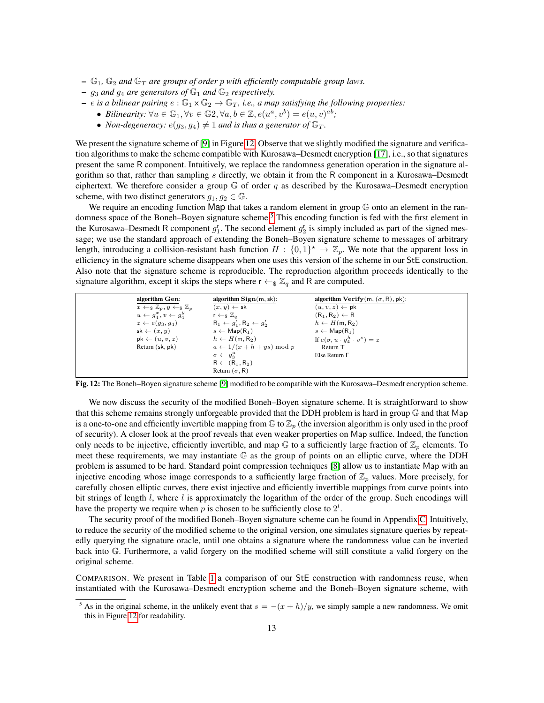- $\mathbb{G}_1$ ,  $\mathbb{G}_2$  *and*  $\mathbb{G}_T$  *are groups of order p with efficiently computable group laws.*
- $-$  g<sub>3</sub> and g<sub>4</sub> are generators of  $\mathbb{G}_1$  and  $\mathbb{G}_2$  respectively.
- $-e$  *is a bilinear pairing*  $e : \mathbb{G}_1 \times \mathbb{G}_2 \to \mathbb{G}_T$ *, i.e., a map satisfying the following properties:* 
	- *Bilinearity:*  $\forall u \in \mathbb{G}_1, \forall v \in \mathbb{G}_2, \forall a, b \in \mathbb{Z}, e(u^a, v^b) = e(u, v)^{ab}$ ;
	- *Non-degeneracy:*  $e(g_3, g_4) \neq 1$  *and is thus a generator of*  $\mathbb{G}_T$ *.*

We present the signature scheme of [\[9\]](#page-14-14) in Figure [12.](#page-12-0) Observe that we slightly modified the signature and verification algorithms to make the scheme compatible with Kurosawa–Desmedt encryption [\[17\]](#page-14-13), i.e., so that signatures present the same R component. Intuitively, we replace the randomness generation operation in the signature algorithm so that, rather than sampling s directly, we obtain it from the R component in a Kurosawa–Desmedt ciphertext. We therefore consider a group  $\mathbb G$  of order q as described by the Kurosawa–Desmedt encryption scheme, with two distinct generators  $g_1, g_2 \in \mathbb{G}$ .

We require an encoding function Map that takes a random element in group  $\mathbb G$  onto an element in the ran-domness space of the Boneh–Boyen signature scheme.<sup>[5](#page-12-1)</sup> This encoding function is fed with the first element in the Kurosawa–Desmedt R component  $g_1^r$ . The second element  $g_2^r$  is simply included as part of the signed message; we use the standard approach of extending the Boneh–Boyen signature scheme to messages of arbitrary length, introducing a collision-resistant hash function  $H: \{0,1\}^* \to \mathbb{Z}_p$ . We note that the apparent loss in efficiency in the signature scheme disappears when one uses this version of the scheme in our StE construction. Also note that the signature scheme is reproducible. The reproduction algorithm proceeds identically to the signature algorithm, except it skips the steps where  $r \leftarrow \mathcal{Z}_q$  and R are computed.

<span id="page-12-0"></span>

| algorithm Gen:                                                                   | algorithm $Sign(m, sk)$ :                         | algorithm Verify $(m, (\sigma, R), pk)$ :   |
|----------------------------------------------------------------------------------|---------------------------------------------------|---------------------------------------------|
| $x \leftarrow_{\mathbb{S}} \mathbb{Z}_p, y \leftarrow_{\mathbb{S}} \mathbb{Z}_p$ | $(x, y) \leftarrow sk$                            | $(u, v, z) \leftarrow pk$                   |
| $u \leftarrow g_A^x, v \leftarrow g_A^y$                                         | $\mathsf{r} \leftarrow_{\mathsf{s}} \mathbb{Z}_a$ | $(R_1, R_2) \leftarrow R$                   |
| $z \leftarrow e(g_3, g_4)$                                                       | $R_1 \leftarrow g_1^r, R_2 \leftarrow g_2^r$      | $h \leftarrow H(m, R_2)$                    |
| $sk \leftarrow (x, y)$                                                           | $s \leftarrow \mathsf{Map}(R_1)$                  | $s \leftarrow \mathsf{Map}(R_1)$            |
| $pk \leftarrow (u, v, z)$                                                        | $h \leftarrow H(m, R_2)$                          | If $e(\sigma, u \cdot q_A^h \cdot v^s) = z$ |
| Return $(\mathsf{sk}, \mathsf{pk})$                                              | $a \leftarrow 1/(x + h + ys) \mod p$              | Return T                                    |
|                                                                                  | $\sigma \leftarrow q_3^a$                         | Else Return F                               |
|                                                                                  | $R \leftarrow (R_1, R_2)$                         |                                             |
|                                                                                  | Return $(\sigma, R)$                              |                                             |

Fig. 12: The Boneh–Boyen signature scheme [\[9\]](#page-14-14) modified to be compatible with the Kurosawa–Desmedt encryption scheme.

We now discuss the security of the modified Boneh–Boyen signature scheme. It is straightforward to show that this scheme remains strongly unforgeable provided that the DDH problem is hard in group G and that Map is a one-to-one and efficiently invertible mapping from  $\mathbb{G}$  to  $\mathbb{Z}_p$  (the inversion algorithm is only used in the proof of security). A closer look at the proof reveals that even weaker properties on Map suffice. Indeed, the function only needs to be injective, efficiently invertible, and map  $\mathbb G$  to a sufficiently large fraction of  $\mathbb Z_p$  elements. To meet these requirements, we may instantiate G as the group of points on an elliptic curve, where the DDH problem is assumed to be hard. Standard point compression techniques [\[8\]](#page-14-20) allow us to instantiate Map with an injective encoding whose image corresponds to a sufficiently large fraction of  $\mathbb{Z}_p$  values. More precisely, for carefully chosen elliptic curves, there exist injective and efficiently invertible mappings from curve points into bit strings of length  $l$ , where  $l$  is approximately the logarithm of the order of the group. Such encodings will have the property we require when p is chosen to be sufficiently close to  $2^l$ .

The security proof of the modified Boneh–Boyen signature scheme can be found in Appendix [C.](#page-18-0) Intuitively, to reduce the security of the modified scheme to the original version, one simulates signature queries by repeatedly querying the signature oracle, until one obtains a signature where the randomness value can be inverted back into G. Furthermore, a valid forgery on the modified scheme will still constitute a valid forgery on the original scheme.

COMPARISON. We present in Table [1](#page-13-1) a comparison of our StE construction with randomness reuse, when instantiated with the Kurosawa–Desmedt encryption scheme and the Boneh–Boyen signature scheme, with

<span id="page-12-1"></span><sup>&</sup>lt;sup>5</sup> As in the original scheme, in the unlikely event that  $s = -(x + h)/y$ , we simply sample a new randomness. We omit this in Figure [12](#page-12-0) for readability.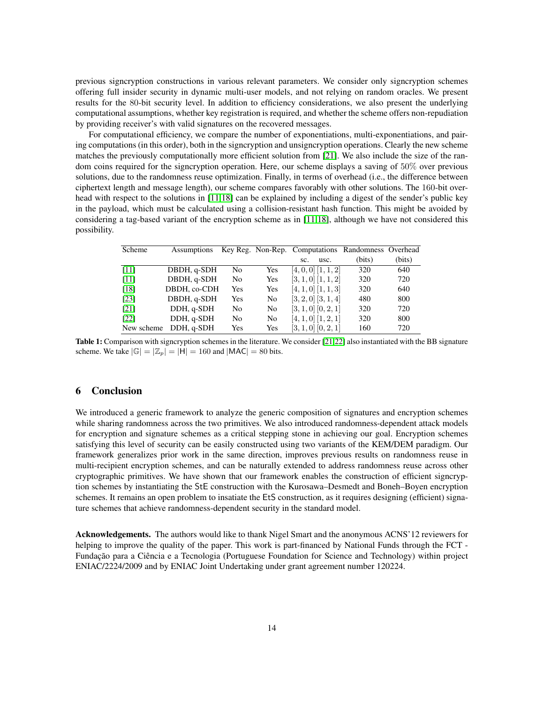previous signcryption constructions in various relevant parameters. We consider only signcryption schemes offering full insider security in dynamic multi-user models, and not relying on random oracles. We present results for the 80-bit security level. In addition to efficiency considerations, we also present the underlying computational assumptions, whether key registration is required, and whether the scheme offers non-repudiation by providing receiver's with valid signatures on the recovered messages.

For computational efficiency, we compare the number of exponentiations, multi-exponentiations, and pairing computations (in this order), both in the signcryption and unsigncryption operations. Clearly the new scheme matches the previously computationally more efficient solution from [\[21\]](#page-14-21). We also include the size of the random coins required for the signcryption operation. Here, our scheme displays a saving of 50% over previous solutions, due to the randomness reuse optimization. Finally, in terms of overhead (i.e., the difference between ciphertext length and message length), our scheme compares favorably with other solutions. The 160-bit overhead with respect to the solutions in [\[11](#page-14-15)[,18\]](#page-14-10) can be explained by including a digest of the sender's public key in the payload, which must be calculated using a collision-resistant hash function. This might be avoided by considering a tag-based variant of the encryption scheme as in [\[11](#page-14-15)[,18\]](#page-14-10), although we have not considered this possibility.

<span id="page-13-1"></span>

| Scheme             | <b>Assumptions</b> |                |                | Key Reg. Non-Rep. Computations Randomness Overhead |        |        |
|--------------------|--------------------|----------------|----------------|----------------------------------------------------|--------|--------|
|                    |                    |                |                | usc.<br>SC.                                        | (bits) | (bits) |
| [11]               | DBDH, q-SDH        | No.            | Yes            | $[4, 0, 0]$ $[1, 1, 2]$                            | 320    | 640    |
| [11]               | DBDH, q-SDH        | N <sub>0</sub> | Yes            | $[3, 1, 0]$ $[1, 1, 2]$                            | 320    | 720    |
| [18]               | DBDH, co-CDH       | Yes            | Yes            | $[4, 1, 0]$ $[1, 1, 3]$                            | 320    | 640    |
| $\lceil 23 \rceil$ | DBDH, q-SDH        | Yes            | N <sub>0</sub> | $[3, 2, 0]$ $[3, 1, 4]$                            | 480    | 800    |
| [21]               | DDH, q-SDH         | N <sub>0</sub> | N <sub>0</sub> | $[3, 1, 0]$ $[0, 2, 1]$                            | 320    | 720    |
| [22]               | DDH, q-SDH         | N <sub>0</sub> | N <sub>0</sub> | $[4, 1, 0]$ $[1, 2, 1]$                            | 320    | 800    |
| New scheme         | DDH, q-SDH         | Yes            | Yes            | $[3, 1, 0]$ $[0, 2, 1]$                            | 160    | 720    |

Table 1: Comparison with signcryption schemes in the literature. We consider [\[21,](#page-14-21)[22\]](#page-14-22) also instantiated with the BB signature scheme. We take  $|\mathbb{G}| = |\mathbb{Z}_p| = |H| = 160$  and  $|MAC| = 80$  bits.

## <span id="page-13-0"></span>6 Conclusion

We introduced a generic framework to analyze the generic composition of signatures and encryption schemes while sharing randomness across the two primitives. We also introduced randomness-dependent attack models for encryption and signature schemes as a critical stepping stone in achieving our goal. Encryption schemes satisfying this level of security can be easily constructed using two variants of the KEM/DEM paradigm. Our framework generalizes prior work in the same direction, improves previous results on randomness reuse in multi-recipient encryption schemes, and can be naturally extended to address randomness reuse across other cryptographic primitives. We have shown that our framework enables the construction of efficient signcryption schemes by instantiating the StE construction with the Kurosawa–Desmedt and Boneh–Boyen encryption schemes. It remains an open problem to insatiate the EtS construction, as it requires designing (efficient) signature schemes that achieve randomness-dependent security in the standard model.

Acknowledgements. The authors would like to thank Nigel Smart and the anonymous ACNS'12 reviewers for helping to improve the quality of the paper. This work is part-financed by National Funds through the FCT - Fundação para a Ciência e a Tecnologia (Portuguese Foundation for Science and Technology) within project ENIAC/2224/2009 and by ENIAC Joint Undertaking under grant agreement number 120224.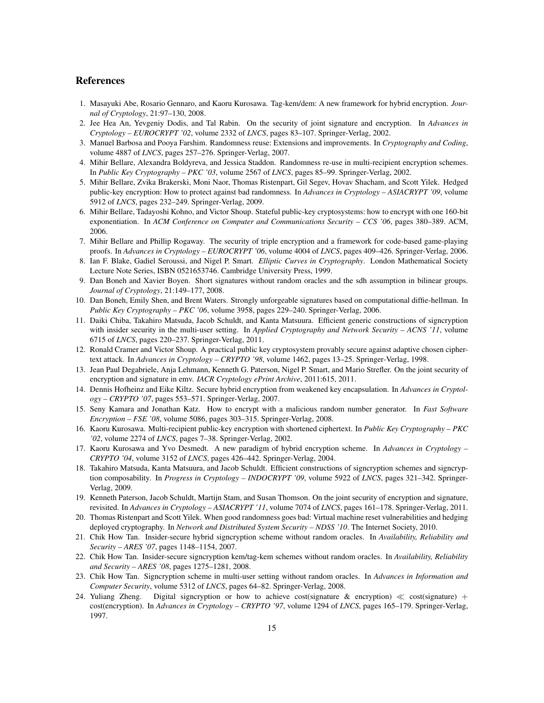# References

- <span id="page-14-16"></span>1. Masayuki Abe, Rosario Gennaro, and Kaoru Kurosawa. Tag-kem/dem: A new framework for hybrid encryption. *Journal of Cryptology*, 21:97–130, 2008.
- <span id="page-14-1"></span>2. Jee Hea An, Yevgeniy Dodis, and Tal Rabin. On the security of joint signature and encryption. In *Advances in Cryptology – EUROCRYPT '02*, volume 2332 of *LNCS*, pages 83–107. Springer-Verlag, 2002.
- <span id="page-14-19"></span>3. Manuel Barbosa and Pooya Farshim. Randomness reuse: Extensions and improvements. In *Cryptography and Coding*, volume 4887 of *LNCS*, pages 257–276. Springer-Verlag, 2007.
- <span id="page-14-4"></span>4. Mihir Bellare, Alexandra Boldyreva, and Jessica Staddon. Randomness re-use in multi-recipient encryption schemes. In *Public Key Cryptography – PKC '03*, volume 2567 of *LNCS*, pages 85–99. Springer-Verlag, 2002.
- <span id="page-14-7"></span>5. Mihir Bellare, Zvika Brakerski, Moni Naor, Thomas Ristenpart, Gil Segev, Hovav Shacham, and Scott Yilek. Hedged public-key encryption: How to protect against bad randomness. In *Advances in Cryptology – ASIACRYPT '09*, volume 5912 of *LNCS*, pages 232–249. Springer-Verlag, 2009.
- 6. Mihir Bellare, Tadayoshi Kohno, and Victor Shoup. Stateful public-key cryptosystems: how to encrypt with one 160-bit exponentiation. In *ACM Conference on Computer and Communications Security – CCS '06*, pages 380–389. ACM, 2006.
- <span id="page-14-17"></span>7. Mihir Bellare and Phillip Rogaway. The security of triple encryption and a framework for code-based game-playing proofs. In *Advances in Cryptology – EUROCRYPT '06*, volume 4004 of *LNCS*, pages 409–426. Springer-Verlag, 2006.
- <span id="page-14-20"></span>8. Ian F. Blake, Gadiel Seroussi, and Nigel P. Smart. *Elliptic Curves in Cryptography*. London Mathematical Society Lecture Note Series, ISBN 0521653746. Cambridge University Press, 1999.
- <span id="page-14-14"></span>9. Dan Boneh and Xavier Boyen. Short signatures without random oracles and the sdh assumption in bilinear groups. *Journal of Cryptology*, 21:149–177, 2008.
- <span id="page-14-18"></span>10. Dan Boneh, Emily Shen, and Brent Waters. Strongly unforgeable signatures based on computational diffie-hellman. In *Public Key Cryptography – PKC '06*, volume 3958, pages 229–240. Springer-Verlag, 2006.
- <span id="page-14-15"></span>11. Daiki Chiba, Takahiro Matsuda, Jacob Schuldt, and Kanta Matsuura. Efficient generic constructions of signcryption with insider security in the multi-user setting. In *Applied Cryptography and Network Security – ACNS '11*, volume 6715 of *LNCS*, pages 220–237. Springer-Verlag, 2011.
- <span id="page-14-11"></span>12. Ronald Cramer and Victor Shoup. A practical public key cryptosystem provably secure against adaptive chosen ciphertext attack. In *Advances in Cryptology – CRYPTO '98*, volume 1462, pages 13–25. Springer-Verlag, 1998.
- <span id="page-14-6"></span>13. Jean Paul Degabriele, Anja Lehmann, Kenneth G. Paterson, Nigel P. Smart, and Mario Strefler. On the joint security of encryption and signature in emv. *IACR Cryptology ePrint Archive*, 2011:615, 2011.
- <span id="page-14-12"></span>14. Dennis Hofheinz and Eike Kiltz. Secure hybrid encryption from weakened key encapsulation. In *Advances in Cryptology – CRYPTO '07*, pages 553–571. Springer-Verlag, 2007.
- <span id="page-14-8"></span>15. Seny Kamara and Jonathan Katz. How to encrypt with a malicious random number generator. In *Fast Software Encryption – FSE '08*, volume 5086, pages 303–315. Springer-Verlag, 2008.
- <span id="page-14-2"></span>16. Kaoru Kurosawa. Multi-recipient public-key encryption with shortened ciphertext. In *Public Key Cryptography – PKC '02*, volume 2274 of *LNCS*, pages 7–38. Springer-Verlag, 2002.
- <span id="page-14-13"></span>17. Kaoru Kurosawa and Yvo Desmedt. A new paradigm of hybrid encryption scheme. In *Advances in Cryptology – CRYPTO '04*, volume 3152 of *LNCS*, pages 426–442. Springer-Verlag, 2004.
- <span id="page-14-10"></span>18. Takahiro Matsuda, Kanta Matsuura, and Jacob Schuldt. Efficient constructions of signcryption schemes and signcryption composability. In *Progress in Cryptology – INDOCRYPT '09*, volume 5922 of *LNCS*, pages 321–342. Springer-Verlag, 2009.
- <span id="page-14-5"></span>19. Kenneth Paterson, Jacob Schuldt, Martijn Stam, and Susan Thomson. On the joint security of encryption and signature, revisited. In *Advances in Cryptology – ASIACRYPT '11*, volume 7074 of *LNCS*, pages 161–178. Springer-Verlag, 2011.
- <span id="page-14-9"></span>20. Thomas Ristenpart and Scott Yilek. When good randomness goes bad: Virtual machine reset vulnerabilities and hedging deployed cryptography. In *Network and Distributed System Security – NDSS '10*. The Internet Society, 2010.
- <span id="page-14-21"></span>21. Chik How Tan. Insider-secure hybrid signcryption scheme without random oracles. In *Availability, Reliability and Security – ARES '07*, pages 1148–1154, 2007.
- <span id="page-14-22"></span>22. Chik How Tan. Insider-secure signcryption kem/tag-kem schemes without random oracles. In *Availability, Reliability and Security – ARES '08*, pages 1275–1281, 2008.
- <span id="page-14-3"></span>23. Chik How Tan. Signcryption scheme in multi-user setting without random oracles. In *Advances in Information and Computer Security*, volume 5312 of *LNCS*, pages 64–82. Springer-Verlag, 2008.
- <span id="page-14-0"></span>24. Yuliang Zheng. Digital signcryption or how to achieve cost(signature & encryption)  $\ll$  cost(signature) + cost(encryption). In *Advances in Cryptology – CRYPTO '97*, volume 1294 of *LNCS*, pages 165–179. Springer-Verlag, 1997.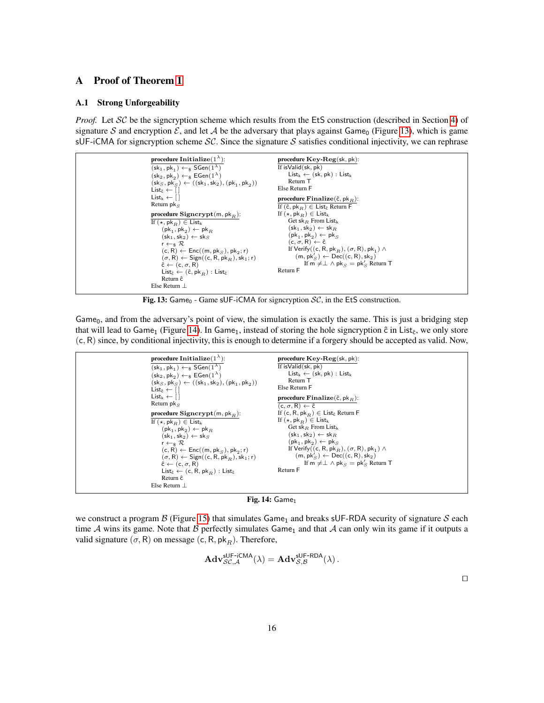# A Proof of Theorem [1](#page-8-3)

#### A.1 Strong Unforgeability

*Proof.* Let SC be the signcryption scheme which results from the EtS construction (described in Section [4\)](#page-5-0) of signature S and encryption  $\mathcal E$ , and let A be the adversary that plays against Game<sub>0</sub> (Figure [13\)](#page-15-0), which is game sUF-iCMA for signcryption scheme  $SC$ . Since the signature S satisfies conditional injectivity, we can rephrase

<span id="page-15-0"></span>

Fig. 13: Game<sub>0</sub> - Game sUF-iCMA for signcryption  $SC$ , in the EtS construction.

 $Game<sub>0</sub>$ , and from the adversary's point of view, the simulation is exactly the same. This is just a bridging step that will lead to Game<sub>1</sub> (Figure [14\)](#page-15-1). In Game<sub>1</sub>, instead of storing the hole signcryption  $\hat{c}$  in List<sub> $\hat{c}$ </sub>, we only store (c, R) since, by conditional injectivity, this is enough to determine if a forgery should be accepted as valid. Now,

<span id="page-15-1"></span>



we construct a program  $\beta$  (Figure [15\)](#page-16-0) that simulates Game<sub>1</sub> and breaks sUF-RDA security of signature  $\beta$  each time A wins its game. Note that B perfectly simulates Game<sub>1</sub> and that A can only win its game if it outputs a valid signature  $(\sigma, R)$  on message  $(c, R, pk_R)$ . Therefore,

$$
\mathbf{Adv}^{\mathsf{sUF-iCMA}}_{\mathcal{SC},\mathcal{A}}(\lambda)=\mathbf{Adv}^{\mathsf{sUF-RDA}}_{\mathcal{S},\mathcal{B}}(\lambda)\,.
$$

 $\Box$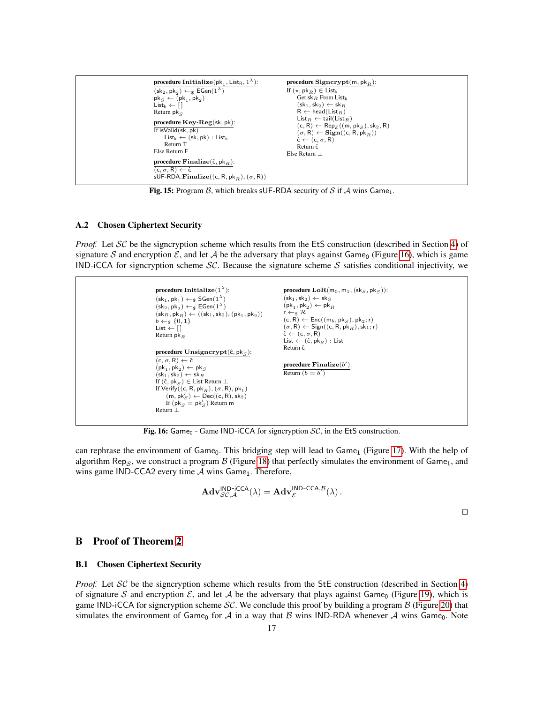<span id="page-16-0"></span>

| <b>procedure Initialize</b> ( $pk_1$ , List <sub>R</sub> , $1^{\lambda}$ ):<br>$(\mathsf{sk}_2, \mathsf{pk}_2) \leftarrow \mathsf{s} \mathsf{EGen}(1^{\lambda})$<br>$pk_S \leftarrow (pk_1, pk_2)$<br>$List_{k} \leftarrow \lceil \rceil$<br>Return $pk_{\mathcal{Q}}$<br>procedure $Key\text{-}Reg(\text{sk}, \text{pk})$ :<br>If $isValid(sk, pk)$<br>$List_{k} \leftarrow (sk, pk) : List_{k}$<br>Return T<br>Else Return F<br><b>procedure Finalize</b> $(\hat{c}, pk_B)$ :<br>$(c, \sigma, R) \leftarrow \hat{c}$<br>sUF-RDA.Finalize((c, R, pk <sub>B</sub> ), $(\sigma, R)$ ) | <b>procedure Signcrypt</b> $(m, pk_B)$ :<br>If $(\star, \mathsf{pk}_B) \in \mathsf{List}_k$<br>Get sk <sub>R</sub> From List<br>$(\mathsf{sk}_1, \mathsf{sk}_2) \leftarrow \mathsf{sk}_B$<br>$R \leftarrow$ head(List $_B$ )<br>$List_B \leftarrow tail(List_B)$<br>$(c, R) \leftarrow \text{Rep}_{\mathcal{E}}((m, pk_S), sk_2, R)$<br>$(\sigma, R) \leftarrow$ Sign((c, R, pk <sub>R</sub> ))<br>$\hat{c} \leftarrow (c, \sigma, R)$<br>Return ĉ<br>Else Return $\perp$ |
|--------------------------------------------------------------------------------------------------------------------------------------------------------------------------------------------------------------------------------------------------------------------------------------------------------------------------------------------------------------------------------------------------------------------------------------------------------------------------------------------------------------------------------------------------------------------------------------|---------------------------------------------------------------------------------------------------------------------------------------------------------------------------------------------------------------------------------------------------------------------------------------------------------------------------------------------------------------------------------------------------------------------------------------------------------------------------|
|                                                                                                                                                                                                                                                                                                                                                                                                                                                                                                                                                                                      |                                                                                                                                                                                                                                                                                                                                                                                                                                                                           |

Fig. 15: Program  $\beta$ , which breaks sUF-RDA security of  $S$  if  $\mathcal A$  wins Game<sub>1</sub>.

### A.2 Chosen Ciphertext Security

*Proof.* Let SC be the signcryption scheme which results from the EtS construction (described in Section [4\)](#page-5-0) of signature S and encryption  $\mathcal E$ , and let A be the adversary that plays against Game<sub>0</sub> (Figure [16\)](#page-16-1), which is game IND-iCCA for signcryption scheme  $SC$ . Because the signature scheme S satisfies conditional injectivity, we

<span id="page-16-1"></span>

| procedure Initialize( $1^{\lambda}$ ):<br>$(\mathsf{sk}_1, \mathsf{pk}_1) \leftarrow_{\mathsf{s}} \mathsf{SGen}(1^{\lambda})$<br>$(\mathsf{sk}_2, \mathsf{pk}_2) \leftarrow \mathsf{s} \mathsf{EGen}(1^{\lambda})$<br>$(\mathsf{sk}_B, \mathsf{pk}_D) \leftarrow ((\mathsf{sk}_1, \mathsf{sk}_2), (\mathsf{pk}_1, \mathsf{pk}_2))$<br>$b \leftarrow \in \{0, 1\}$<br>List $\leftarrow$   <br>Return $pk_{B}$<br>procedure Unsigncrypt $(\hat{c}, pk_s)$ :<br>$(c, \sigma, R) \leftarrow \hat{c}$<br>$(\mathsf{pk}_1, \mathsf{pk}_2) \leftarrow \mathsf{pk}_S$<br>$(\mathsf{sk}_1, \mathsf{sk}_2) \leftarrow \mathsf{sk}_B$<br>If $(\hat{\mathsf{c}}, \mathsf{pk}_{\mathsf{c}}) \in \mathsf{List}$ Return $\perp$<br>If Verify((c, R, pk <sub>B</sub> ), ( $\sigma$ , R), pk <sub>1</sub> )<br>$(m, pk'_\circ) \leftarrow \text{Dec}((c, R), sk_2)$<br>If $(\mathsf{pk}_{\mathcal{S}} = \mathsf{pk}'_{\mathcal{S}})$ Return m<br>Return $\perp$ | <b>procedure</b> $\mathbf{LoR}(m_0, m_1, (sk_S, pk_S))$ :<br>$(\mathsf{sk}_1, \mathsf{sk}_2) \leftarrow \mathsf{sk}_S$<br>$(\mathsf{pk}_1, \mathsf{pk}_2) \leftarrow \mathsf{pk}_B$<br>$r \leftarrow s \mathcal{R}$<br>$(c, R) \leftarrow \mathsf{Enc}((m_b, \mathsf{pk}_S), \mathsf{pk}_2; r)$<br>$(\sigma, R) \leftarrow$ Sign((c, R, pk <sub>p</sub> ), sk <sub>1</sub> ; r)<br>$\hat{c} \leftarrow (c, \sigma, R)$<br>List $\leftarrow (\hat{c}, pk_{S})$ : List<br>Return ĉ<br>procedure $\mathbf{Finalize}(b')$ :<br>Return $(b = b')$ |
|------------------------------------------------------------------------------------------------------------------------------------------------------------------------------------------------------------------------------------------------------------------------------------------------------------------------------------------------------------------------------------------------------------------------------------------------------------------------------------------------------------------------------------------------------------------------------------------------------------------------------------------------------------------------------------------------------------------------------------------------------------------------------------------------------------------------------------------------------------------------------------------------------------------------------------------------|----------------------------------------------------------------------------------------------------------------------------------------------------------------------------------------------------------------------------------------------------------------------------------------------------------------------------------------------------------------------------------------------------------------------------------------------------------------------------------------------------------------------------------------------|
|                                                                                                                                                                                                                                                                                                                                                                                                                                                                                                                                                                                                                                                                                                                                                                                                                                                                                                                                                |                                                                                                                                                                                                                                                                                                                                                                                                                                                                                                                                              |

Fig. 16: Game<sub>0</sub> - Game IND-iCCA for signcryption  $SC$ , in the EtS construction.

can rephrase the environment of Game<sub>0</sub>. This bridging step will lead to Game<sub>1</sub> (Figure [17\)](#page-17-0). With the help of algorithm Rep<sub>S</sub>, we construct a program B (Figure [18\)](#page-17-1) that perfectly simulates the environment of Game<sub>1</sub>, and wins game IND-CCA2 every time  $A$  wins Game<sub>1</sub>. Therefore,

$$
\mathbf{Adv}_{\mathcal{SC},\mathcal{A}}^{\mathsf{IND}\text{-}\mathsf{icCA}}(\lambda)=\mathbf{Adv}_{\mathcal{E}}^{\mathsf{IND}\text{-}\mathsf{CCA},\mathcal{B}}(\lambda)\,.
$$

 $\Box$ 

# B Proof of Theorem [2](#page-8-4)

#### B.1 Chosen Ciphertext Security

*Proof.* Let SC be the signcryption scheme which results from the StE construction (described in Section [4\)](#page-5-0) of signature S and encryption  $\mathcal{E}$ , and let A be the adversary that plays against Game<sub>0</sub> (Figure [19\)](#page-17-2), which is game IND-iCCA for signcryption scheme  $SC$ . We conclude this proof by building a program  $B$  (Figure [20\)](#page-18-1) that simulates the environment of Game<sub>0</sub> for A in a way that B wins IND-RDA whenever A wins Game<sub>0</sub>. Note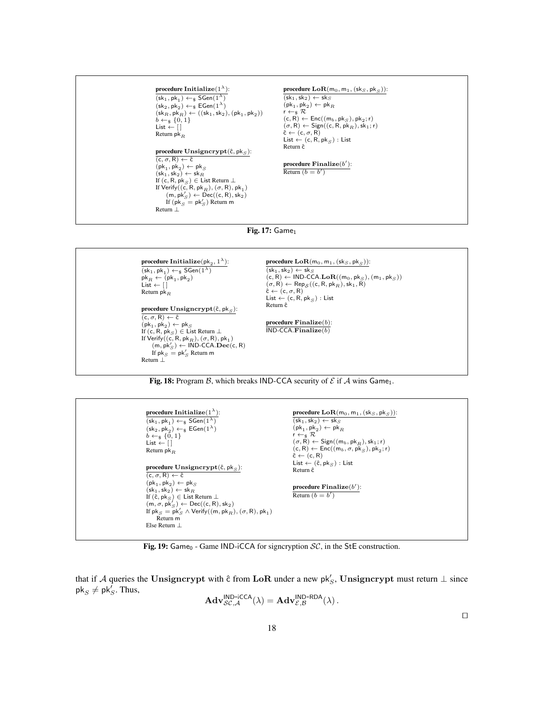<span id="page-17-0"></span>

<span id="page-17-1"></span>Fig. 18: Program  $\mathcal{B}$ , which breaks IND-CCA security of  $\mathcal{E}$  if  $\mathcal{A}$  wins Game<sub>1</sub>.

<span id="page-17-2"></span>

| procedure Initialize( $1^{\lambda}$ ):                                                  | <b>procedure</b> $\mathbf{LoR}(m_0, m_1, (sk_S, pk_S))$ :                  |
|-----------------------------------------------------------------------------------------|----------------------------------------------------------------------------|
| $(\mathsf{sk}_1, \mathsf{pk}_1) \leftarrow_{\mathsf{s}} \mathsf{SGen}(1^{\lambda})$     | $(\mathsf{sk}_1, \mathsf{sk}_2) \leftarrow \mathsf{sk}_S$                  |
| $(\mathsf{sk}_2, \mathsf{pk}_2) \leftarrow_{\mathsf{R}} \mathsf{EGen}(1^{\lambda})$     | $(\mathsf{pk}_1, \mathsf{pk}_2) \leftarrow \mathsf{pk}_D$                  |
| $b \leftarrow_{\mathsf{s}} \{0,1\}$                                                     | $r \leftarrow s \mathcal{R}$                                               |
| List $\leftarrow \Box$                                                                  | $(\sigma, R) \leftarrow$ Sign $((m_b, pk_B), sk_1; r)$                     |
| Return $pk_{B}$                                                                         | $(c, R) \leftarrow \text{Enc}((m_h, \sigma, pk_{\alpha}), pk_{\alpha}; r)$ |
|                                                                                         | $\hat{c} \leftarrow (c, R)$                                                |
|                                                                                         | List $\leftarrow$ (ĉ, pk <sub>s</sub> ) : List                             |
| <b>procedure Unsigncrypt</b> $(\hat{c}, pk_{\alpha})$ :                                 | Return ĉ                                                                   |
| $(c, \sigma, R) \leftarrow \hat{c}$                                                     |                                                                            |
| $(\mathsf{pk}_1, \mathsf{pk}_2) \leftarrow \mathsf{pk}_S$                               | procedure $\mathbf{Finalize}(b')$ :                                        |
| $(\mathsf{sk}_1, \mathsf{sk}_2) \leftarrow \mathsf{sk}_B$                               |                                                                            |
| If $(\hat{\mathsf{c}}, \mathsf{pk}_{\alpha}) \in \mathsf{List}$ Return $\perp$          | Return $(b = b')$                                                          |
| $(m, \sigma, pk'_\sigma) \leftarrow \text{Dec}((c, R), sk_2)$                           |                                                                            |
| If $pk_{\sigma} = pk'_{\sigma} \wedge Verify((m, pk_{\sigma}), (\sigma, R), pk_{\tau})$ |                                                                            |
| Return m                                                                                |                                                                            |
| Else Return $\perp$                                                                     |                                                                            |

Fig. 19: Game<sub>0</sub> - Game IND-iCCA for signcryption  $SC$ , in the StE construction.

that if A queries the Unsigncrypt with  $\hat{\mathsf{c}}$  from LoR under a new pk<sup> $\prime$ </sup>s, Unsigncrypt must return  $\bot$  since  $\mathsf{pk}_S \neq \mathsf{pk}_S^{\tilde{\mathsf{f}}}$ . Thus,

$$
\mathbf{Adv}_{\mathcal{SC},\mathcal{A}}^{\mathsf{IND}\text{-}\mathsf{icCA}}(\lambda) = \mathbf{Adv}_{\mathcal{E},\mathcal{B}}^{\mathsf{IND}\text{-}\mathsf{RDA}}(\lambda)\,.
$$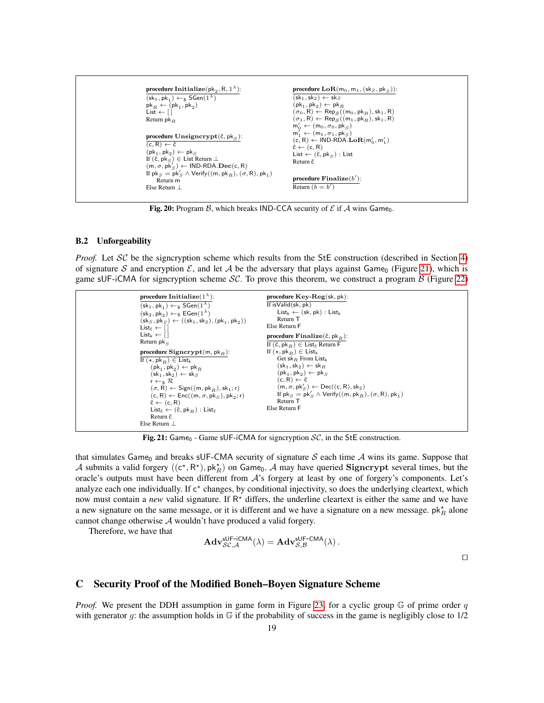```
\textbf{procedure}\ \textbf{Initialize} (\textsf{pk}_2, \textsf{R}, 1^\lambda):
\overline{(\mathsf{sk}_1, \mathsf{pk}_1) \leftarrow_{\$} \mathsf{SGen}(1^{\lambda})}\mathsf{pk}_R \leftarrow (\mathsf{pk}_1, \mathsf{pk}_2)List ← []Return \overrightarrow{pk}_Rprocedure \bf Universitypt(\hat{c}, \mathsf{pk}_S):
(c, R) \leftarrow \hat{c}(\mathsf{pk}_1, \mathsf{pk}_2) \leftarrow \mathsf{pk}_SIf (\hat{\mathsf{c}}, \mathsf{pk}_S) ∈ List Return \bot<br>(m, σ, pk'<sub>S</sub>) ← IND-RDA.Dec(c, R)
If \mathsf{pk}_S = \mathsf{pk}'_S \land \mathsf{Verify}((\mathsf{m}, \mathsf{pk}_R), (\sigma, \mathsf{R}), \mathsf{pk}_1)Return m
Else Return ⊥
                                                                                                                       procedure LoR(m_0, m_1, (sk_S, pk_S)):
                                                                                                                       \overline{(\mathsf{sk}_1, \mathsf{sk}_2) \leftarrow \mathsf{sk}_S}(\mathsf{pk}_1, \mathsf{pk}_2) \leftarrow \mathsf{pk}_R(\sigma_0, R) \leftarrow \mathsf{Rep}_{\mathcal{S}}((\mathsf{m}_0, \mathsf{pk}_R), \mathsf{sk}_1, R)(\sigma_1, R) \leftarrow \mathsf{Rep}_{\mathcal{S}}((m_1, \mathsf{pk}_R), \mathsf{sk}_1, R)\mathsf{m}_0' \leftarrow (\mathsf{m}_0, \sigma_0, \mathsf{pk}_S)m_1' \leftarrow (m_1, \sigma_1, \mathsf{pk}_S)(c, R) \leftarrow \text{IND-RDA.LoR}(m'_0, m'_1)\hat{\mathsf{c}} \leftarrow (\mathsf{c}, \mathsf{R})List \leftarrow (\hat{\mathsf{c}}, \mathsf{pk}_S) : List
                                                                                                                       Return ĉ
                                                                                                                        procedure \mathbf{Finalize}(b'):
                                                                                                                        Return (b = b')
```
Fig. 20: Program B, which breaks IND-CCA security of  $\mathcal E$  if A wins Game<sub>0</sub>.

#### B.2 Unforgeability

*Proof.* Let SC be the signcryption scheme which results from the StE construction (described in Section [4\)](#page-5-0) of signature S and encryption  $\mathcal{E}$ , and let A be the adversary that plays against Game<sub>0</sub> (Figure [21\)](#page-18-2), which is game sUF-iCMA for signcryption scheme  $\mathcal{SC}$ . To prove this theorem, we construct a program  $\mathcal B$  (Figure [22\)](#page-19-0)

<span id="page-18-2"></span>

| procedure Initialize( $1^{\lambda}$ ):<br>$(\mathsf{sk}_1, \mathsf{pk}_1) \leftarrow \mathsf{s} \mathsf{Gen}(1^{\lambda})$<br>$(\mathsf{sk}_2, \mathsf{pk}_2) \leftarrow_{\mathsf{e}} \mathsf{EGen}(1^{\lambda})$<br>$(\mathsf{sk}_S, \mathsf{pk}_S) \leftarrow ((\mathsf{sk}_1, \mathsf{sk}_2), (\mathsf{pk}_1, \mathsf{pk}_2))$<br>List $_{\hat{c}} \leftarrow   $<br>$List_{k} \leftarrow   $<br>Return $pk_{\mathcal{Q}}$<br><b>procedure Signcrypt</b> $(m, pk_B)$ :<br>If $(\star, \mathsf{pk}_B) \in \mathsf{List}_k$<br>$(\mathsf{pk}_1, \mathsf{pk}_2) \leftarrow \mathsf{pk}_B$<br>$(\mathsf{sk}_1, \mathsf{sk}_2) \leftarrow \mathsf{sk}_S$<br>$r \leftarrow s \mathcal{R}$<br>$(\sigma, R) \leftarrow$ Sign((m, pk <sub>R</sub> ), sk <sub>1</sub> ; r)<br>$(c, R) \leftarrow \text{Enc}((m, \sigma, pk_{\sigma}), pk_{\sigma}; r)$<br>$\hat{c} \leftarrow (c, R)$<br>List <sub>ê</sub> $\leftarrow$ (ĉ, pk <sub>B</sub> ) : List <sub>ê</sub><br>Return ĉ | procedure $Key\text{-}Reg(\text{sk}, \text{pk})$ :<br>If $isValid(sk, pk)$<br>$List_{k} \leftarrow (sk, pk) : List_{k}$<br>Return T<br>Else Return F<br><b>procedure Finalize</b> $(\hat{\mathbf{c}}, \mathbf{pk}_B)$ :<br>If $(\hat{\mathsf{c}}, \mathsf{pk}_B) \in \mathsf{List}_{\hat{\mathsf{c}}}$ Return F<br>If $(\star, \mathsf{pk}_{\mathcal{D}}) \in \mathsf{List}_{\mathsf{k}}$<br>Get sk <sub>R</sub> From List <sub>k</sub><br>$(\mathsf{sk}_1, \mathsf{sk}_2) \leftarrow \mathsf{sk}_R$<br>$(\mathsf{pk}_1, \mathsf{pk}_2) \leftarrow \mathsf{pk}_S$<br>$(c, R) \leftarrow \hat{c}$<br>$(m, \sigma, pk'_\sigma) \leftarrow \text{Dec}((c, R), sk_2)$<br>If $pk_{S} = pk'_{S} \wedge Verify((m, pk_{B}), (\sigma, R), pk_{1})$<br>Return T<br>Else Return F |
|------------------------------------------------------------------------------------------------------------------------------------------------------------------------------------------------------------------------------------------------------------------------------------------------------------------------------------------------------------------------------------------------------------------------------------------------------------------------------------------------------------------------------------------------------------------------------------------------------------------------------------------------------------------------------------------------------------------------------------------------------------------------------------------------------------------------------------------------------------------------------------------------------------------------------------------------------------------------|-------------------------------------------------------------------------------------------------------------------------------------------------------------------------------------------------------------------------------------------------------------------------------------------------------------------------------------------------------------------------------------------------------------------------------------------------------------------------------------------------------------------------------------------------------------------------------------------------------------------------------------------------------------------------------------------------------------------------------------------------------------------------|
| Else Return $\perp$                                                                                                                                                                                                                                                                                                                                                                                                                                                                                                                                                                                                                                                                                                                                                                                                                                                                                                                                                    |                                                                                                                                                                                                                                                                                                                                                                                                                                                                                                                                                                                                                                                                                                                                                                         |

Fig. 21: Game<sub>0</sub> - Game sUF-iCMA for signcryption  $SC$ , in the StE construction.

that simulates Game<sub>0</sub> and breaks sUF-CMA security of signature S each time A wins its game. Suppose that A submits a valid forgery  $((c^*, R^*), p k_R^*)$  on Game<sub>0</sub>. A may have queried **Signcrypt** several times, but the oracle's outputs must have been different from  $A$ 's forgery at least by one of forgery's components. Let's analyze each one individually. If  $c^*$  changes, by conditional injectivity, so does the underlying cleartext, which now must contain a *new* valid signature. If R<sup>\*</sup> differs, the underline cleartext is either the same and we have a new signature on the same message, or it is different and we have a signature on a new message.  $pk_R^{\star}$  alone cannot change otherwise A wouldn't have produced a valid forgery.

Therefore, we have that

$$
\mathbf{Adv}_{\mathcal{SC},\mathcal{A}}^{\mathsf{sUF-iCMA}}(\lambda)=\mathbf{Adv}_{\mathcal{S},\mathcal{B}}^{\mathsf{sUF-CMA}}(\lambda)\,.
$$

 $\Box$ 

#### <span id="page-18-0"></span>C Security Proof of the Modified Boneh–Boyen Signature Scheme

*Proof.* We present the DDH assumption in game form in Figure [23,](#page-19-1) for a cyclic group  $\mathbb{G}$  of prime order q with generator g: the assumption holds in  $\mathbb G$  if the probability of success in the game is negligibly close to 1/2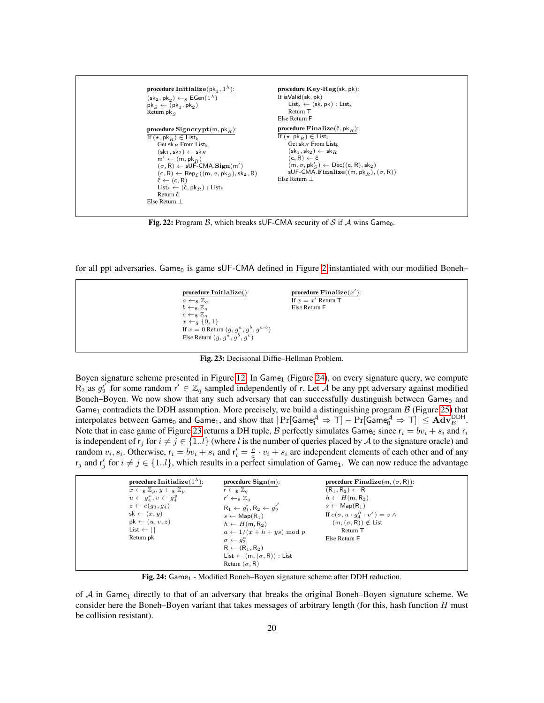<span id="page-19-0"></span>

| procedure Initialize( $pk_1$ , $1^{\lambda}$ ):<br>$(\mathsf{sk}_2, \mathsf{pk}_2) \leftarrow_{\mathsf{S}} \mathsf{EGen}(1^{\lambda})$<br>$pk_{S} \leftarrow (pk_{1}, pk_{2})$<br>Return $pk \in$                                                                                                                                                                                                                                                                                                                                                                    | procedure $Key\text{-}Reg(\text{sk}, \text{pk})$ :<br>If $isValid(sk, pk)$<br>$List_{k} \leftarrow (sk, pk) : List_{k}$<br>Return T<br>Else Return F                                                                                                                                                                                                                                                      |
|----------------------------------------------------------------------------------------------------------------------------------------------------------------------------------------------------------------------------------------------------------------------------------------------------------------------------------------------------------------------------------------------------------------------------------------------------------------------------------------------------------------------------------------------------------------------|-----------------------------------------------------------------------------------------------------------------------------------------------------------------------------------------------------------------------------------------------------------------------------------------------------------------------------------------------------------------------------------------------------------|
| <b>procedure Signcrypt</b> $(m, pk_B)$ :<br>If $(\star, \mathsf{pk}_B) \in \mathsf{List}_k$<br>Get sk <sub>R</sub> From List<br>$(\mathsf{sk}_1, \mathsf{sk}_2) \leftarrow \mathsf{sk}_B$<br>$m' \leftarrow (m, pk_p)$<br>$(\sigma, R) \leftarrow \text{sUF-CMA} \cdot \text{Sign}(m')$<br>$(c, R) \leftarrow \text{Rep}_{\mathcal{E}}((m, \sigma, pk_{\mathcal{S}}), sk_2, R)$<br>$\hat{c} \leftarrow (c, R)$<br>List <sub><math>\hat{c}</math></sub> $\leftarrow$ ( $\hat{c}$ , $pk_B$ ) : List <sub><math>\hat{c}</math></sub><br>Return ĉ<br>Else Return $\perp$ | <b>procedure Finalize</b> $(\hat{c}, pk_B)$ :<br>If $(\star, \mathsf{pk}_B) \in \mathsf{List}_k$<br>Get sk <sub>R</sub> From List <sub>k</sub><br>$(\mathsf{sk}_1, \mathsf{sk}_2) \leftarrow \mathsf{sk}_B$<br>$(c, R) \leftarrow \hat{c}$<br>$(m, \sigma, \mathsf{pk}_\sigma') \leftarrow \mathsf{Dec}((c, R), \mathsf{sk}_2)$<br>sUF-CMA.Finalize( $(m, pk_B)$ , $(\sigma, R)$ )<br>Else Return $\perp$ |

Fig. 22: Program  $\beta$ , which breaks sUF-CMA security of  $\beta$  if  $\mathcal A$  wins Game<sub>0</sub>.

for all ppt adversaries. Game<sub>0</sub> is game sUF-CMA defined in Figure [2](#page-4-0) instantiated with our modified Boneh–

<span id="page-19-1"></span>

| $procedure$ Initialize():                        | procedure Finalize $(x')$ : |
|--------------------------------------------------|-----------------------------|
| $a \leftarrow_{\mathbb{S}} \mathbb{Z}_q$         | If $x = x'$ Return T        |
| $b \leftarrow s \mathbb{Z}_q$                    | Else Return F               |
| $c \leftarrow s \mathbb{Z}_q$                    |                             |
| $x \leftarrow_s \{0,1\}$                         |                             |
| If $x = 0$ Return $(g, g^a, g^b, g^{a \cdot b})$ |                             |
| Else Return $(q, q^a, q^b, q^c)$                 |                             |

Fig. 23: Decisional Diffie–Hellman Problem.

Boyen signature scheme presented in Figure [12.](#page-12-0) In Game<sub>1</sub> (Figure [24\)](#page-19-2), on every signature query, we compute  $R_2$  as  $g_2^{r'}$  for some random  $r' \in \mathbb{Z}_q$  sampled independently of r. Let A be any ppt adversary against modified Boneh–Boyen. We now show that any such adversary that can successfully dustinguish between Game<sub>0</sub> and Game<sub>1</sub> contradicts the DDH assumption. More precisely, we build a distinguishing program  $\beta$  (Figure [25\)](#page-20-0) that interpolates between Game<sub>0</sub> and Game<sub>1</sub>, and show that  $|\Pr[\mathsf{Game}^{\mathcal{A}}_1 \Rightarrow \mathsf{T}] - \Pr[\mathsf{Game}^{\mathcal{A}}_0 \Rightarrow \mathsf{T}]|\leq \mathbf{Adv}^{\mathsf{DDH}}_{\mathcal{B}}$ . Note that in case game of Figure [23](#page-19-1) returns a DH tuple, B perfectly simulates Game<sub>0</sub> since  $r_i = bv_i + s_i$  and  $r_i$ is independent of  $r_j$  for  $i \neq j \in \{1..l\}$  (where l is the number of queries placed by A to the signature oracle) and random  $v_i$ ,  $s_i$ . Otherwise,  $r_i = bv_i + s_i$  and  $r'_i = \frac{c}{a} \cdot v_i + s_i$  are independent elements of each other and of any  $r_j$  and  $r'_j$  for  $i \neq j \in \{1..l\}$ , which results in a perfect simulation of Game<sub>1</sub>. We can now reduce the advantage

<span id="page-19-2"></span>

| procedure Initialize( $1^{\lambda}$ ):<br>$x \leftarrow_{\mathbb{S}} \mathbb{Z}_p, y \leftarrow_{\mathbb{S}} \mathbb{Z}_p$<br>$u \leftarrow g_A^x, v \leftarrow g_A^y$<br>$z \leftarrow e(q_3, q_4)$<br>$sk \leftarrow (x, y)$<br>$pk \leftarrow (u, v, z)$<br>List $\leftarrow$ $\lceil \cdot \rceil$<br>Return pk | $procedure$ $Sign(m)$ :<br>$\mathsf{r} \leftarrow_{\mathsf{s}} \mathbb{Z}_a$<br>$\mathbf{r}' \leftarrow_{\mathbf{s}} \mathbb{Z}_a$<br>$R_1 \leftarrow q_1^r, R_2 \leftarrow q_2^{r'}$<br>$s \leftarrow \mathsf{Map}(R_1)$<br>$h \leftarrow H(m, R_2)$<br>$a \leftarrow 1/(x + h + ys) \mod p$<br>$\sigma \leftarrow q_2^a$<br>$R \leftarrow (R_1, R_2)$<br>List $\leftarrow$ (m, $(\sigma, R)$ ) : List<br>Return ( $\sigma$ , R) | <b>procedure Finalize</b> $(m, (\sigma, R))$ :<br>$(R_1, R_2) \leftarrow R$<br>$h \leftarrow H(m, R_2)$<br>$s \leftarrow \mathsf{Map}(R_1)$<br>If $e(\sigma, u \cdot q_A^h \cdot v^s) = z \wedge$<br>$(m, (\sigma, R)) \notin$ List<br>Return T<br>Else Return F |
|---------------------------------------------------------------------------------------------------------------------------------------------------------------------------------------------------------------------------------------------------------------------------------------------------------------------|-----------------------------------------------------------------------------------------------------------------------------------------------------------------------------------------------------------------------------------------------------------------------------------------------------------------------------------------------------------------------------------------------------------------------------------|------------------------------------------------------------------------------------------------------------------------------------------------------------------------------------------------------------------------------------------------------------------|
|---------------------------------------------------------------------------------------------------------------------------------------------------------------------------------------------------------------------------------------------------------------------------------------------------------------------|-----------------------------------------------------------------------------------------------------------------------------------------------------------------------------------------------------------------------------------------------------------------------------------------------------------------------------------------------------------------------------------------------------------------------------------|------------------------------------------------------------------------------------------------------------------------------------------------------------------------------------------------------------------------------------------------------------------|

Fig. 24: Game<sub>1</sub> - Modified Boneh–Boyen signature scheme after DDH reduction.

of  $A$  in Game<sub>1</sub> directly to that of an adversary that breaks the original Boneh–Boyen signature scheme. We consider here the Boneh–Boyen variant that takes messages of arbitrary length (for this, hash function  $H$  must be collision resistant).